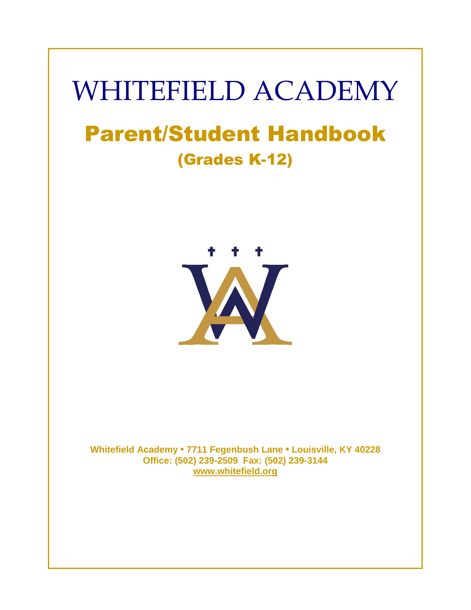# WHITEFIELD ACADEMY Parent/Student Handbook (Grades K-12)



**Whitefield Academy • 7711 Fegenbush Lane • Louisville, KY 40228 Office: (502) 239-2509 Fax: (502) 239-3144 [www.whitefield.org](http://www.whitefield.org/)**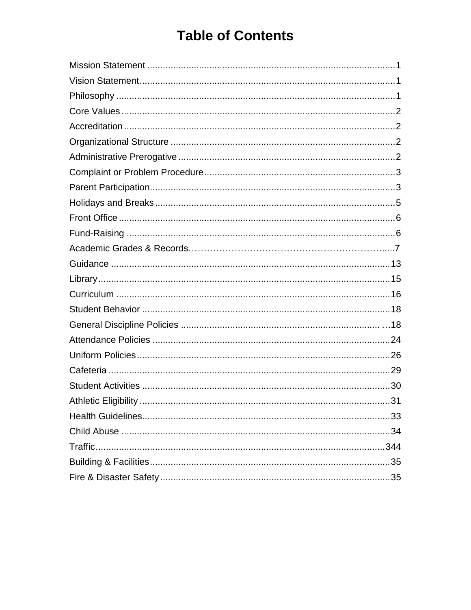## **Table of Contents**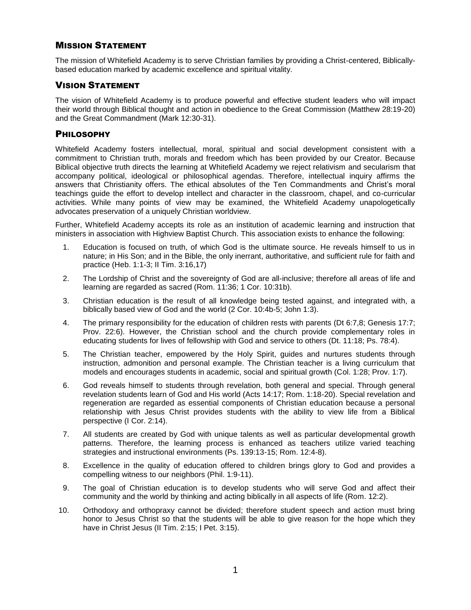## <span id="page-2-0"></span>MISSION STATEMENT

The mission of Whitefield Academy is to serve Christian families by providing a Christ-centered, Biblicallybased education marked by academic excellence and spiritual vitality.

## <span id="page-2-1"></span>VISION STATEMENT

The vision of Whitefield Academy is to produce powerful and effective student leaders who will impact their world through Biblical thought and action in obedience to the Great Commission (Matthew 28:19-20) and the Great Commandment (Mark 12:30-31).

## <span id="page-2-2"></span>PHILOSOPHY

Whitefield Academy fosters intellectual, moral, spiritual and social development consistent with a commitment to Christian truth, morals and freedom which has been provided by our Creator. Because Biblical objective truth directs the learning at Whitefield Academy we reject relativism and secularism that accompany political, ideological or philosophical agendas. Therefore, intellectual inquiry affirms the answers that Christianity offers. The ethical absolutes of the Ten Commandments and Christ's moral teachings guide the effort to develop intellect and character in the classroom, chapel, and co-curricular activities. While many points of view may be examined, the Whitefield Academy unapologetically advocates preservation of a uniquely Christian worldview.

Further, Whitefield Academy accepts its role as an institution of academic learning and instruction that ministers in association with Highview Baptist Church. This association exists to enhance the following:

- 1. Education is focused on truth, of which God is the ultimate source. He reveals himself to us in nature; in His Son; and in the Bible, the only inerrant, authoritative, and sufficient rule for faith and practice (Heb. 1:1-3; II Tim. 3:16,17)
- 2. The Lordship of Christ and the sovereignty of God are all-inclusive; therefore all areas of life and learning are regarded as sacred (Rom. 11:36; 1 Cor. 10:31b).
- 3. Christian education is the result of all knowledge being tested against, and integrated with, a biblically based view of God and the world (2 Cor. 10:4b-5; John 1:3).
- 4. The primary responsibility for the education of children rests with parents (Dt 6:7,8; Genesis 17:7; Prov. 22:6). However, the Christian school and the church provide complementary roles in educating students for lives of fellowship with God and service to others (Dt. 11:18; Ps. 78:4).
- 5. The Christian teacher, empowered by the Holy Spirit, guides and nurtures students through instruction, admonition and personal example. The Christian teacher is a living curriculum that models and encourages students in academic, social and spiritual growth (Col. 1:28; Prov. 1:7).
- 6. God reveals himself to students through revelation, both general and special. Through general revelation students learn of God and His world (Acts 14:17; Rom. 1:18-20). Special revelation and regeneration are regarded as essential components of Christian education because a personal relationship with Jesus Christ provides students with the ability to view life from a Biblical perspective (I Cor. 2:14).
- 7. All students are created by God with unique talents as well as particular developmental growth patterns. Therefore, the learning process is enhanced as teachers utilize varied teaching strategies and instructional environments (Ps. 139:13-15; Rom. 12:4-8).
- 8. Excellence in the quality of education offered to children brings glory to God and provides a compelling witness to our neighbors (Phil. 1:9-11).
- 9. The goal of Christian education is to develop students who will serve God and affect their community and the world by thinking and acting biblically in all aspects of life (Rom. 12:2).
- 10. Orthodoxy and orthopraxy cannot be divided; therefore student speech and action must bring honor to Jesus Christ so that the students will be able to give reason for the hope which they have in Christ Jesus (II Tim. 2:15; I Pet. 3:15).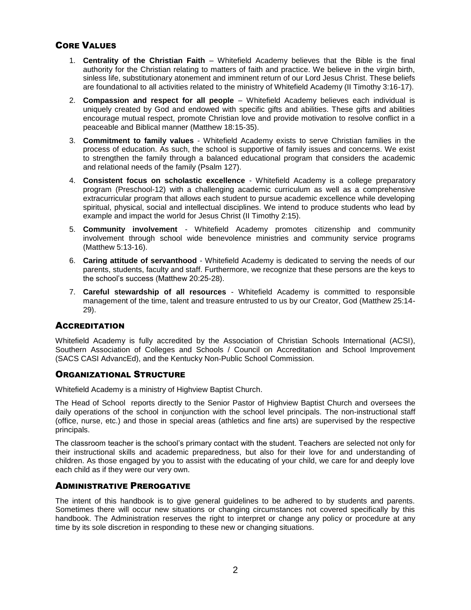## CORE VALUES

- <span id="page-3-0"></span>1. **Centrality of the Christian Faith** – Whitefield Academy believes that the Bible is the final authority for the Christian relating to matters of faith and practice. We believe in the virgin birth, sinless life, substitutionary atonement and imminent return of our Lord Jesus Christ. These beliefs are foundational to all activities related to the ministry of Whitefield Academy (II Timothy 3:16-17).
- 2. **Compassion and respect for all people** Whitefield Academy believes each individual is uniquely created by God and endowed with specific gifts and abilities. These gifts and abilities encourage mutual respect, promote Christian love and provide motivation to resolve conflict in a peaceable and Biblical manner (Matthew 18:15-35).
- 3. **Commitment to family values** Whitefield Academy exists to serve Christian families in the process of education. As such, the school is supportive of family issues and concerns. We exist to strengthen the family through a balanced educational program that considers the academic and relational needs of the family (Psalm 127).
- 4. **Consistent focus on scholastic excellence** Whitefield Academy is a college preparatory program (Preschool-12) with a challenging academic curriculum as well as a comprehensive extracurricular program that allows each student to pursue academic excellence while developing spiritual, physical, social and intellectual disciplines. We intend to produce students who lead by example and impact the world for Jesus Christ (II Timothy 2:15).
- 5. **Community involvement** Whitefield Academy promotes citizenship and community involvement through school wide benevolence ministries and community service programs (Matthew 5:13-16).
- 6. **Caring attitude of servanthood** Whitefield Academy is dedicated to serving the needs of our parents, students, faculty and staff. Furthermore, we recognize that these persons are the keys to the school's success (Matthew 20:25-28).
- <span id="page-3-1"></span>7. **Careful stewardship of all resources** - Whitefield Academy is committed to responsible management of the time, talent and treasure entrusted to us by our Creator, God (Matthew 25:14- 29).

## **ACCREDITATION**

Whitefield Academy is fully accredited by the Association of Christian Schools International (ACSI), Southern Association of Colleges and Schools / Council on Accreditation and School Improvement (SACS CASI AdvancEd), and the Kentucky Non-Public School Commission.

## <span id="page-3-2"></span>ORGANIZATIONAL STRUCTURE

Whitefield Academy is a ministry of Highview Baptist Church.

The Head of School reports directly to the Senior Pastor of Highview Baptist Church and oversees the daily operations of the school in conjunction with the school level principals. The non-instructional staff (office, nurse, etc.) and those in special areas (athletics and fine arts) are supervised by the respective principals.

The classroom teacher is the school's primary contact with the student. Teachers are selected not only for their instructional skills and academic preparedness, but also for their love for and understanding of children. As those engaged by you to assist with the educating of your child, we care for and deeply love each child as if they were our very own.

## <span id="page-3-3"></span>ADMINISTRATIVE PREROGATIVE

The intent of this handbook is to give general guidelines to be adhered to by students and parents. Sometimes there will occur new situations or changing circumstances not covered specifically by this handbook. The Administration reserves the right to interpret or change any policy or procedure at any time by its sole discretion in responding to these new or changing situations.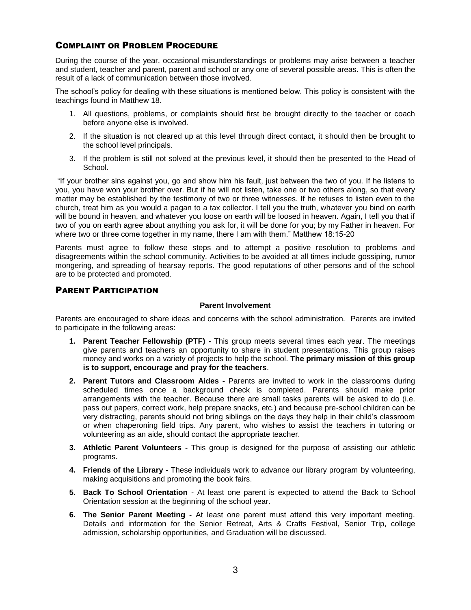## <span id="page-4-0"></span>COMPLAINT OR PROBLEM PROCEDURE

During the course of the year, occasional misunderstandings or problems may arise between a teacher and student, teacher and parent, parent and school or any one of several possible areas. This is often the result of a lack of communication between those involved.

The school's policy for dealing with these situations is mentioned below. This policy is consistent with the teachings found in Matthew 18.

- 1. All questions, problems, or complaints should first be brought directly to the teacher or coach before anyone else is involved.
- 2. If the situation is not cleared up at this level through direct contact, it should then be brought to the school level principals.
- 3. If the problem is still not solved at the previous level, it should then be presented to the Head of School.

"If your brother sins against you, go and show him his fault, just between the two of you. If he listens to you, you have won your brother over. But if he will not listen, take one or two others along, so that every matter may be established by the testimony of two or three witnesses. If he refuses to listen even to the church, treat him as you would a pagan to a tax collector. I tell you the truth, whatever you bind on earth will be bound in heaven, and whatever you loose on earth will be loosed in heaven. Again, I tell you that if two of you on earth agree about anything you ask for, it will be done for you; by my Father in heaven. For where two or three come together in my name, there I am with them." Matthew 18:15-20

Parents must agree to follow these steps and to attempt a positive resolution to problems and disagreements within the school community. Activities to be avoided at all times include gossiping, rumor mongering, and spreading of hearsay reports. The good reputations of other persons and of the school are to be protected and promoted.

## PARENT PARTICIPATION

## <span id="page-4-1"></span>**Parent Involvement**

Parents are encouraged to share ideas and concerns with the school administration. Parents are invited to participate in the following areas:

- **1. Parent Teacher Fellowship (PTF) -** This group meets several times each year. The meetings give parents and teachers an opportunity to share in student presentations. This group raises money and works on a variety of projects to help the school. **The primary mission of this group is to support, encourage and pray for the teachers**.
- **2. Parent Tutors and Classroom Aides -** Parents are invited to work in the classrooms during scheduled times once a background check is completed. Parents should make prior arrangements with the teacher. Because there are small tasks parents will be asked to do (i.e. pass out papers, correct work, help prepare snacks, etc.) and because pre-school children can be very distracting, parents should not bring siblings on the days they help in their child's classroom or when chaperoning field trips. Any parent, who wishes to assist the teachers in tutoring or volunteering as an aide, should contact the appropriate teacher.
- **3. Athletic Parent Volunteers -** This group is designed for the purpose of assisting our athletic programs.
- **4. Friends of the Library -** These individuals work to advance our library program by volunteering, making acquisitions and promoting the book fairs.
- **5. Back To School Orientation** At least one parent is expected to attend the Back to School Orientation session at the beginning of the school year.
- **6. The Senior Parent Meeting -** At least one parent must attend this very important meeting. Details and information for the Senior Retreat, Arts & Crafts Festival, Senior Trip, college admission, scholarship opportunities, and Graduation will be discussed.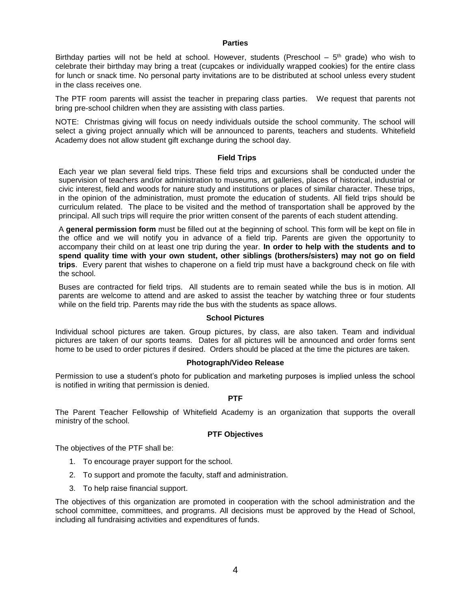#### **Parties**

Birthday parties will not be held at school. However, students (Preschool – 5<sup>th</sup> grade) who wish to celebrate their birthday may bring a treat (cupcakes or individually wrapped cookies) for the entire class for lunch or snack time. No personal party invitations are to be distributed at school unless every student in the class receives one.

The PTF room parents will assist the teacher in preparing class parties. We request that parents not bring pre-school children when they are assisting with class parties.

NOTE: Christmas giving will focus on needy individuals outside the school community. The school will select a giving project annually which will be announced to parents, teachers and students. Whitefield Academy does not allow student gift exchange during the school day.

## **Field Trips**

Each year we plan several field trips. These field trips and excursions shall be conducted under the supervision of teachers and/or administration to museums, art galleries, places of historical, industrial or civic interest, field and woods for nature study and institutions or places of similar character. These trips, in the opinion of the administration, must promote the education of students. All field trips should be curriculum related. The place to be visited and the method of transportation shall be approved by the principal. All such trips will require the prior written consent of the parents of each student attending.

A **general permission form** must be filled out at the beginning of school. This form will be kept on file in the office and we will notify you in advance of a field trip. Parents are given the opportunity to accompany their child on at least one trip during the year. **In order to help with the students and to spend quality time with your own student, other siblings (brothers/sisters) may not go on field trips**. Every parent that wishes to chaperone on a field trip must have a background check on file with the school.

Buses are contracted for field trips. All students are to remain seated while the bus is in motion. All parents are welcome to attend and are asked to assist the teacher by watching three or four students while on the field trip. Parents may ride the bus with the students as space allows.

## **School Pictures**

Individual school pictures are taken. Group pictures, by class, are also taken. Team and individual pictures are taken of our sports teams. Dates for all pictures will be announced and order forms sent home to be used to order pictures if desired. Orders should be placed at the time the pictures are taken.

## **Photograph/Video Release**

Permission to use a student's photo for publication and marketing purposes is implied unless the school is notified in writing that permission is denied.

#### **PTF**

The Parent Teacher Fellowship of Whitefield Academy is an organization that supports the overall ministry of the school.

#### **PTF Objectives**

The objectives of the PTF shall be:

- 1. To encourage prayer support for the school.
- 2. To support and promote the faculty, staff and administration.
- 3. To help raise financial support.

The objectives of this organization are promoted in cooperation with the school administration and the school committee, committees, and programs. All decisions must be approved by the Head of School, including all fundraising activities and expenditures of funds.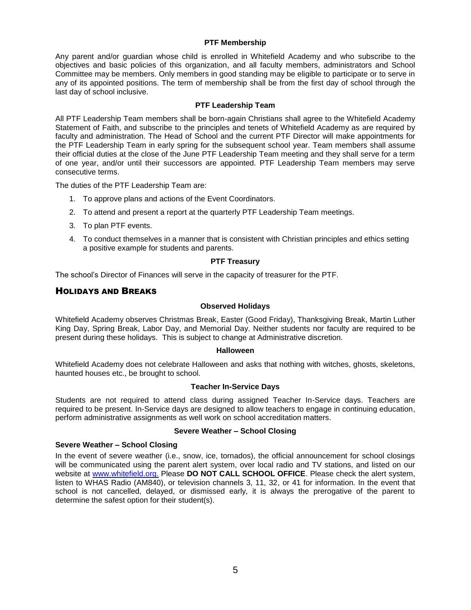## **PTF Membership**

Any parent and/or guardian whose child is enrolled in Whitefield Academy and who subscribe to the objectives and basic policies of this organization, and all faculty members, administrators and School Committee may be members. Only members in good standing may be eligible to participate or to serve in any of its appointed positions. The term of membership shall be from the first day of school through the last day of school inclusive.

## **PTF Leadership Team**

All PTF Leadership Team members shall be born-again Christians shall agree to the Whitefield Academy Statement of Faith, and subscribe to the principles and tenets of Whitefield Academy as are required by faculty and administration. The Head of School and the current PTF Director will make appointments for the PTF Leadership Team in early spring for the subsequent school year. Team members shall assume their official duties at the close of the June PTF Leadership Team meeting and they shall serve for a term of one year, and/or until their successors are appointed. PTF Leadership Team members may serve consecutive terms.

The duties of the PTF Leadership Team are:

- 1. To approve plans and actions of the Event Coordinators.
- 2. To attend and present a report at the quarterly PTF Leadership Team meetings.
- 3. To plan PTF events.
- 4. To conduct themselves in a manner that is consistent with Christian principles and ethics setting a positive example for students and parents.

## **PTF Treasury**

The school's Director of Finances will serve in the capacity of treasurer for the PTF.

## HOLIDAYS AND BREAKS

## <span id="page-6-0"></span>**Observed Holidays**

Whitefield Academy observes Christmas Break, Easter (Good Friday), Thanksgiving Break, Martin Luther King Day, Spring Break, Labor Day, and Memorial Day. Neither students nor faculty are required to be present during these holidays. This is subject to change at Administrative discretion.

## **Halloween**

Whitefield Academy does not celebrate Halloween and asks that nothing with witches, ghosts, skeletons, haunted houses etc., be brought to school.

## **Teacher In-Service Days**

Students are not required to attend class during assigned Teacher In-Service days. Teachers are required to be present. In-Service days are designed to allow teachers to engage in continuing education, perform administrative assignments as well work on school accreditation matters.

## **Severe Weather – School Closing**

## **Severe Weather – School Closing**

In the event of severe weather (i.e., snow, ice, tornados), the official announcement for school closings will be communicated using the parent alert system, over local radio and TV stations, and listed on our website at [www.whitefield.org.](http://www.whitefield.org/) Please **DO NOT CALL SCHOOL OFFICE**. Please check the alert system, listen to WHAS Radio (AM840), or television channels 3, 11, 32, or 41 for information. In the event that school is not cancelled, delayed, or dismissed early, it is always the prerogative of the parent to determine the safest option for their student(s).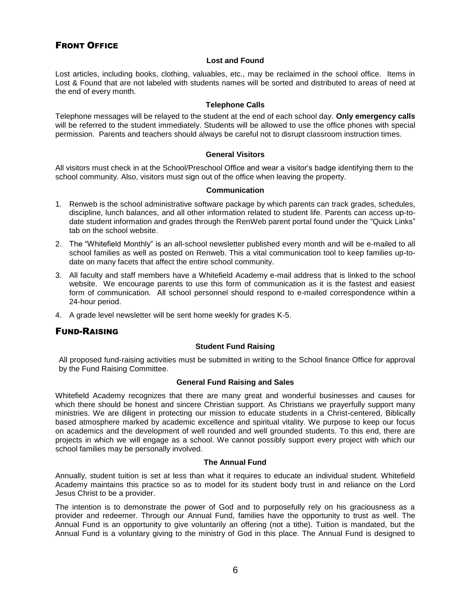## <span id="page-7-0"></span>FRONT OFFICE

#### **Lost and Found**

Lost articles, including books, clothing, valuables, etc., may be reclaimed in the school office. Items in Lost & Found that are not labeled with students names will be sorted and distributed to areas of need at the end of every month.

#### **Telephone Calls**

Telephone messages will be relayed to the student at the end of each school day. **Only emergency calls** will be referred to the student immediately. Students will be allowed to use the office phones with special permission. Parents and teachers should always be careful not to disrupt classroom instruction times.

## **General Visitors**

All visitors must check in at the School/Preschool Office and wear a visitor's badge identifying them to the school community. Also, visitors must sign out of the office when leaving the property.

#### **Communication**

- 1. Renweb is the school administrative software package by which parents can track grades, schedules, discipline, lunch balances, and all other information related to student life. Parents can access up-todate student information and grades through the RenWeb parent portal found under the "Quick Links" tab on the school website.
- 2. The "Whitefield Monthly" is an all-school newsletter published every month and will be e-mailed to all school families as well as posted on Renweb. This a vital communication tool to keep families up-todate on many facets that affect the entire school community.
- 3. All faculty and staff members have a Whitefield Academy e-mail address that is linked to the school website. We encourage parents to use this form of communication as it is the fastest and easiest form of communication. All school personnel should respond to e-mailed correspondence within a 24-hour period.
- 4. A grade level newsletter will be sent home weekly for grades K-5.

## <span id="page-7-1"></span>FUND-RAISING

## **Student Fund Raising**

All proposed fund-raising activities must be submitted in writing to the School finance Office for approval by the Fund Raising Committee.

## **General Fund Raising and Sales**

Whitefield Academy recognizes that there are many great and wonderful businesses and causes for which there should be honest and sincere Christian support. As Christians we prayerfully support many ministries. We are diligent in protecting our mission to educate students in a Christ-centered, Biblically based atmosphere marked by academic excellence and spiritual vitality. We purpose to keep our focus on academics and the development of well rounded and well grounded students. To this end, there are projects in which we will engage as a school. We cannot possibly support every project with which our school families may be personally involved.

## **The Annual Fund**

Annually, student tuition is set at less than what it requires to educate an individual student. Whitefield Academy maintains this practice so as to model for its student body trust in and reliance on the Lord Jesus Christ to be a provider.

The intention is to demonstrate the power of God and to purposefully rely on his graciousness as a provider and redeemer. Through our Annual Fund, families have the opportunity to trust as well. The Annual Fund is an opportunity to give voluntarily an offering (not a tithe). Tuition is mandated, but the Annual Fund is a voluntary giving to the ministry of God in this place. The Annual Fund is designed to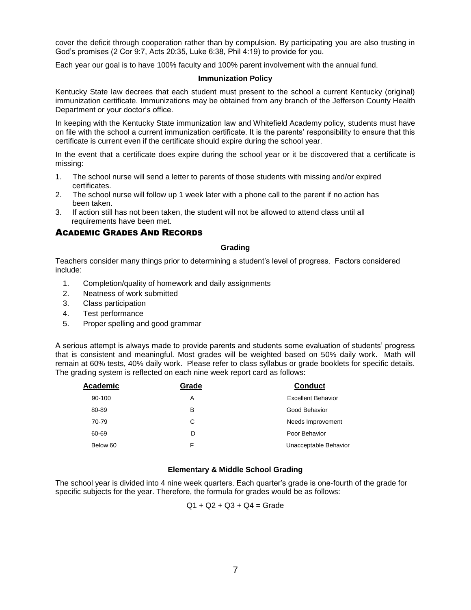cover the deficit through cooperation rather than by compulsion. By participating you are also trusting in God's promises (2 Cor 9:7, Acts 20:35, Luke 6:38, Phil 4:19) to provide for you.

Each year our goal is to have 100% faculty and 100% parent involvement with the annual fund.

#### **Immunization Policy**

Kentucky State law decrees that each student must present to the school a current Kentucky (original) immunization certificate. Immunizations may be obtained from any branch of the Jefferson County Health Department or your doctor's office.

In keeping with the Kentucky State immunization law and Whitefield Academy policy, students must have on file with the school a current immunization certificate. It is the parents' responsibility to ensure that this certificate is current even if the certificate should expire during the school year.

In the event that a certificate does expire during the school year or it be discovered that a certificate is missing:

- 1. The school nurse will send a letter to parents of those students with missing and/or expired certificates.
- 2. The school nurse will follow up 1 week later with a phone call to the parent if no action has been taken.
- 3. If action still has not been taken, the student will not be allowed to attend class until all requirements have been met.

## ACADEMIC GRADES AND RECORDS

#### **Grading**

Teachers consider many things prior to determining a student's level of progress. Factors considered include:

- 1. Completion/quality of homework and daily assignments
- 2. Neatness of work submitted
- 3. Class participation
- 4. Test performance
- 5. Proper spelling and good grammar

A serious attempt is always made to provide parents and students some evaluation of students' progress that is consistent and meaningful. Most grades will be weighted based on 50% daily work. Math will remain at 60% tests, 40% daily work. Please refer to class syllabus or grade booklets for specific details. The grading system is reflected on each nine week report card as follows:

| Academic | Grade | <b>Conduct</b>            |
|----------|-------|---------------------------|
| 90-100   | Α     | <b>Excellent Behavior</b> |
| 80-89    | в     | Good Behavior             |
| 70-79    | С     | Needs Improvement         |
| 60-69    | D     | Poor Behavior             |
| Below 60 | F     | Unacceptable Behavior     |

## **Elementary & Middle School Grading**

The school year is divided into 4 nine week quarters. Each quarter's grade is one-fourth of the grade for specific subjects for the year. Therefore, the formula for grades would be as follows:

 $Q1 + Q2 + Q3 + Q4 =$  Grade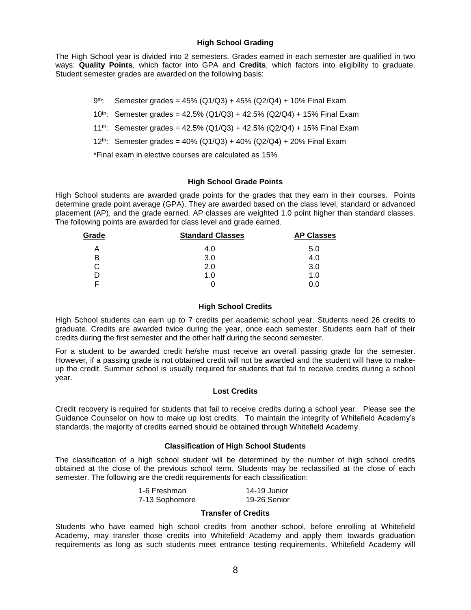## **High School Grading**

The High School year is divided into 2 semesters. Grades earned in each semester are qualified in two ways: **Quality Points**, which factor into GPA and **Credits**, which factors into eligibility to graduate. Student semester grades are awarded on the following basis:

- gth<sub>:</sub> Semester grades =  $45\%$  (Q1/Q3) + 45% (Q2/Q4) + 10% Final Exam
- 10th: Semester grades = 42.5% (Q1/Q3) + 42.5% (Q2/Q4) + 15% Final Exam
- 11<sup>th</sup>: Semester grades = 42.5% (Q1/Q3) + 42.5% (Q2/Q4) + 15% Final Exam
- 12<sup>th</sup>: Semester grades =  $40\%$  (Q1/Q3) +  $40\%$  (Q2/Q4) + 20% Final Exam

\*Final exam in elective courses are calculated as 15%

## **High School Grade Points**

High School students are awarded grade points for the grades that they earn in their courses. Points determine grade point average (GPA). They are awarded based on the class level, standard or advanced placement (AP), and the grade earned. AP classes are weighted 1.0 point higher than standard classes. The following points are awarded for class level and grade earned.

| Grade | <b>Standard Classes</b> | <b>AP Classes</b> |  |
|-------|-------------------------|-------------------|--|
| А     | 4.0                     | 5.0               |  |
| В     | 3.0                     | 4.0               |  |
| С     | 2.0                     | 3.0               |  |
|       | 1.0                     | 1.0               |  |
| E     |                         | 0.0               |  |

## **High School Credits**

High School students can earn up to 7 credits per academic school year. Students need 26 credits to graduate. Credits are awarded twice during the year, once each semester. Students earn half of their credits during the first semester and the other half during the second semester.

For a student to be awarded credit he/she must receive an overall passing grade for the semester. However, if a passing grade is not obtained credit will not be awarded and the student will have to makeup the credit. Summer school is usually required for students that fail to receive credits during a school year.

## **Lost Credits**

Credit recovery is required for students that fail to receive credits during a school year. Please see the Guidance Counselor on how to make up lost credits. To maintain the integrity of Whitefield Academy's standards, the majority of credits earned should be obtained through Whitefield Academy.

## **Classification of High School Students**

The classification of a high school student will be determined by the number of high school credits obtained at the close of the previous school term. Students may be reclassified at the close of each semester. The following are the credit requirements for each classification:

| 1-6 Freshman   | 14-19 Junior |
|----------------|--------------|
| 7-13 Sophomore | 19-26 Senior |

## **Transfer of Credits**

Students who have earned high school credits from another school, before enrolling at Whitefield Academy, may transfer those credits into Whitefield Academy and apply them towards graduation requirements as long as such students meet entrance testing requirements. Whitefield Academy will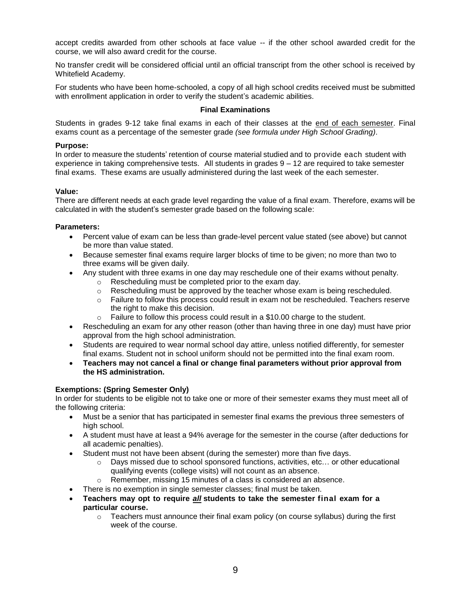accept credits awarded from other schools at face value -- if the other school awarded credit for the course, we will also award credit for the course.

No transfer credit will be considered official until an official transcript from the other school is received by Whitefield Academy.

For students who have been home-schooled, a copy of all high school credits received must be submitted with enrollment application in order to verify the student's academic abilities.

## **Final Examinations**

Students in grades 9-12 take final exams in each of their classes at the end of each semester. Final exams count as a percentage of the semester grade *(see formula under High School Grading)*.

## **Purpose:**

In order to measure the students' retention of course material studied and to provide each student with experience in taking comprehensive tests. All students in grades 9 – 12 are required to take semester final exams. These exams are usually administered during the last week of the each semester.

## **Value:**

There are different needs at each grade level regarding the value of a final exam. Therefore, exams will be calculated in with the student's semester grade based on the following scale:

## **Parameters:**

- Percent value of exam can be less than grade-level percent value stated (see above) but cannot be more than value stated.
- Because semester final exams require larger blocks of time to be given; no more than two to three exams will be given daily.
- Any student with three exams in one day may reschedule one of their exams without penalty.
	- o Rescheduling must be completed prior to the exam day.
	- $\circ$  Rescheduling must be approved by the teacher whose exam is being rescheduled.
	- o Failure to follow this process could result in exam not be rescheduled. Teachers reserve the right to make this decision.
	- $\circ$  Failure to follow this process could result in a \$10.00 charge to the student.
- Rescheduling an exam for any other reason (other than having three in one day) must have prior approval from the high school administration.
- Students are required to wear normal school day attire, unless notified differently, for semester final exams. Student not in school uniform should not be permitted into the final exam room.
- **Teachers may not cancel a final or change final parameters without prior approval from the HS administration.**

## **Exemptions: (Spring Semester Only)**

In order for students to be eligible not to take one or more of their semester exams they must meet all of the following criteria:

- Must be a senior that has participated in semester final exams the previous three semesters of high school.
- A student must have at least a 94% average for the semester in the course (after deductions for all academic penalties).
- Student must not have been absent (during the semester) more than five days.
	- $\circ$  Days missed due to school sponsored functions, activities, etc... or other educational qualifying events (college visits) will not count as an absence.
	- o Remember, missing 15 minutes of a class is considered an absence.
- There is no exemption in single semester classes; final must be taken.
- **Teachers may opt to require** *all* **students to take the semester final exam for a particular course.**
	- $\circ$  Teachers must announce their final exam policy (on course syllabus) during the first week of the course.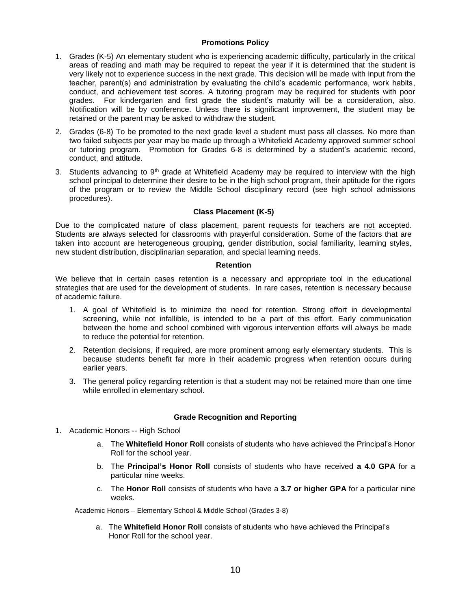## **Promotions Policy**

- 1. Grades (K-5) An elementary student who is experiencing academic difficulty, particularly in the critical areas of reading and math may be required to repeat the year if it is determined that the student is very likely not to experience success in the next grade. This decision will be made with input from the teacher, parent(s) and administration by evaluating the child's academic performance, work habits, conduct, and achievement test scores. A tutoring program may be required for students with poor grades. For kindergarten and first grade the student's maturity will be a consideration, also. Notification will be by conference. Unless there is significant improvement, the student may be retained or the parent may be asked to withdraw the student.
- 2. Grades (6-8) To be promoted to the next grade level a student must pass all classes. No more than two failed subjects per year may be made up through a Whitefield Academy approved summer school or tutoring program. Promotion for Grades 6-8 is determined by a student's academic record, conduct, and attitude.
- 3. Students advancing to  $9<sup>th</sup>$  grade at Whitefield Academy may be required to interview with the high school principal to determine their desire to be in the high school program, their aptitude for the rigors of the program or to review the Middle School disciplinary record (see high school admissions procedures).

## **Class Placement (K-5)**

Due to the complicated nature of class placement, parent requests for teachers are not accepted. Students are always selected for classrooms with prayerful consideration. Some of the factors that are taken into account are heterogeneous grouping, gender distribution, social familiarity, learning styles, new student distribution, disciplinarian separation, and special learning needs.

## **Retention**

We believe that in certain cases retention is a necessary and appropriate tool in the educational strategies that are used for the development of students. In rare cases, retention is necessary because of academic failure.

- 1. A goal of Whitefield is to minimize the need for retention. Strong effort in developmental screening, while not infallible, is intended to be a part of this effort. Early communication between the home and school combined with vigorous intervention efforts will always be made to reduce the potential for retention.
- 2. Retention decisions, if required, are more prominent among early elementary students. This is because students benefit far more in their academic progress when retention occurs during earlier years.
- 3. The general policy regarding retention is that a student may not be retained more than one time while enrolled in elementary school.

## **Grade Recognition and Reporting**

- 1. Academic Honors -- High School
	- a. The **Whitefield Honor Roll** consists of students who have achieved the Principal's Honor Roll for the school year.
	- b. The **Principal's Honor Roll** consists of students who have received **a 4.0 GPA** for a particular nine weeks.
	- c. The **Honor Roll** consists of students who have a **3.7 or higher GPA** for a particular nine weeks.

Academic Honors – Elementary School & Middle School (Grades 3-8)

 a. The **Whitefield Honor Roll** consists of students who have achieved the Principal's Honor Roll for the school year.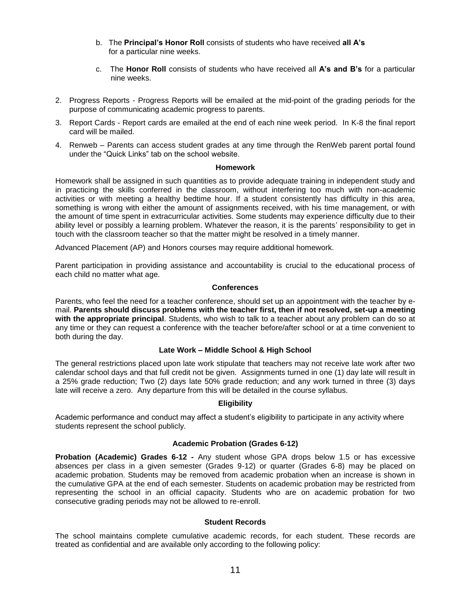- b. The **Principal's Honor Roll** consists of students who have received **all A's** for a particular nine weeks.
- c. The **Honor Roll** consists of students who have received all **A's and B's** for a particular nine weeks.
- 2. Progress Reports Progress Reports will be emailed at the mid-point of the grading periods for the purpose of communicating academic progress to parents.
- 3. Report Cards Report cards are emailed at the end of each nine week period. In K-8 the final report card will be mailed.
- 4. Renweb Parents can access student grades at any time through the RenWeb parent portal found under the "Quick Links" tab on the school website.

#### **Homework**

Homework shall be assigned in such quantities as to provide adequate training in independent study and in practicing the skills conferred in the classroom, without interfering too much with non-academic activities or with meeting a healthy bedtime hour. If a student consistently has difficulty in this area, something is wrong with either the amount of assignments received, with his time management, or with the amount of time spent in extracurricular activities. Some students may experience difficulty due to their ability level or possibly a learning problem. Whatever the reason, it is the parents' responsibility to get in touch with the classroom teacher so that the matter might be resolved in a timely manner.

Advanced Placement (AP) and Honors courses may require additional homework.

Parent participation in providing assistance and accountability is crucial to the educational process of each child no matter what age.

## **Conferences**

Parents, who feel the need for a teacher conference, should set up an appointment with the teacher by email. **Parents should discuss problems with the teacher first, then if not resolved, set-up a meeting with the appropriate principal**. Students, who wish to talk to a teacher about any problem can do so at any time or they can request a conference with the teacher before/after school or at a time convenient to both during the day.

## **Late Work – Middle School & High School**

The general restrictions placed upon late work stipulate that teachers may not receive late work after two calendar school days and that full credit not be given. Assignments turned in one (1) day late will result in a 25% grade reduction; Two (2) days late 50% grade reduction; and any work turned in three (3) days late will receive a zero. Any departure from this will be detailed in the course syllabus.

## **Eligibility**

Academic performance and conduct may affect a student's eligibility to participate in any activity where students represent the school publicly.

## **Academic Probation (Grades 6-12)**

**Probation (Academic) Grades 6-12 -** Any student whose GPA drops below 1.5 or has excessive absences per class in a given semester (Grades 9-12) or quarter (Grades 6-8) may be placed on academic probation. Students may be removed from academic probation when an increase is shown in the cumulative GPA at the end of each semester. Students on academic probation may be restricted from representing the school in an official capacity. Students who are on academic probation for two consecutive grading periods may not be allowed to re-enroll.

#### **Student Records**

The school maintains complete cumulative academic records, for each student. These records are treated as confidential and are available only according to the following policy: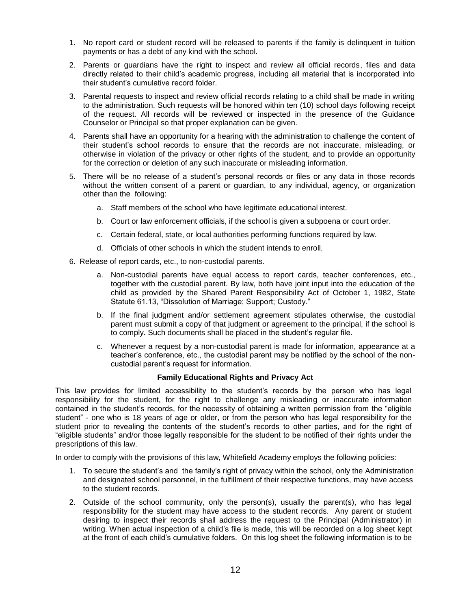- 1. No report card or student record will be released to parents if the family is delinquent in tuition payments or has a debt of any kind with the school.
- 2. Parents or guardians have the right to inspect and review all official records, files and data directly related to their child's academic progress, including all material that is incorporated into their student's cumulative record folder.
- 3. Parental requests to inspect and review official records relating to a child shall be made in writing to the administration. Such requests will be honored within ten (10) school days following receipt of the request. All records will be reviewed or inspected in the presence of the Guidance Counselor or Principal so that proper explanation can be given.
- 4. Parents shall have an opportunity for a hearing with the administration to challenge the content of their student's school records to ensure that the records are not inaccurate, misleading, or otherwise in violation of the privacy or other rights of the student, and to provide an opportunity for the correction or deletion of any such inaccurate or misleading information.
- 5. There will be no release of a student's personal records or files or any data in those records without the written consent of a parent or guardian, to any individual, agency, or organization other than the following:
	- a. Staff members of the school who have legitimate educational interest.
	- b. Court or law enforcement officials, if the school is given a subpoena or court order.
	- c. Certain federal, state, or local authorities performing functions required by law.
	- d. Officials of other schools in which the student intends to enroll.
- 6. Release of report cards, etc., to non-custodial parents.
	- a. Non-custodial parents have equal access to report cards, teacher conferences, etc., together with the custodial parent. By law, both have joint input into the education of the child as provided by the Shared Parent Responsibility Act of October 1, 1982, State Statute 61.13, "Dissolution of Marriage; Support; Custody."
	- b. If the final judgment and/or settlement agreement stipulates otherwise, the custodial parent must submit a copy of that judgment or agreement to the principal, if the school is to comply. Such documents shall be placed in the student's regular file.
	- c. Whenever a request by a non-custodial parent is made for information, appearance at a teacher's conference, etc., the custodial parent may be notified by the school of the noncustodial parent's request for information.

## **Family Educational Rights and Privacy Act**

This law provides for limited accessibility to the student's records by the person who has legal responsibility for the student, for the right to challenge any misleading or inaccurate information contained in the student's records, for the necessity of obtaining a written permission from the "eligible student" - one who is 18 years of age or older, or from the person who has legal responsibility for the student prior to revealing the contents of the student's records to other parties, and for the right of "eligible students" and/or those legally responsible for the student to be notified of their rights under the prescriptions of this law.

In order to comply with the provisions of this law, Whitefield Academy employs the following policies:

- 1. To secure the student's and the family's right of privacy within the school, only the Administration and designated school personnel, in the fulfillment of their respective functions, may have access to the student records.
- 2. Outside of the school community, only the person(s), usually the parent(s), who has legal responsibility for the student may have access to the student records. Any parent or student desiring to inspect their records shall address the request to the Principal (Administrator) in writing. When actual inspection of a child's file is made, this will be recorded on a log sheet kept at the front of each child's cumulative folders. On this log sheet the following information is to be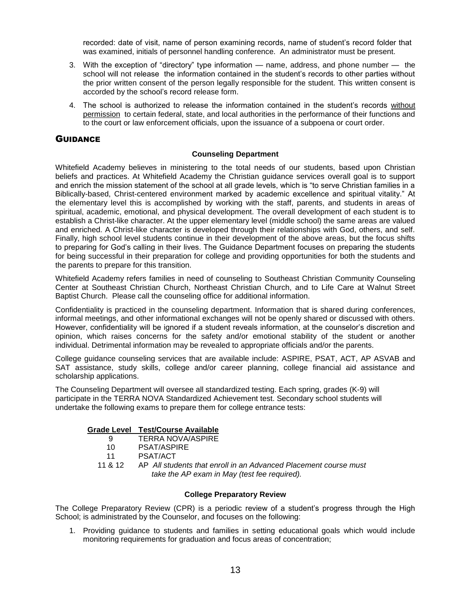recorded: date of visit, name of person examining records, name of student's record folder that was examined, initials of personnel handling conference. An administrator must be present.

- 3. With the exception of "directory" type information name, address, and phone number the school will not release the information contained in the student's records to other parties without the prior written consent of the person legally responsible for the student. This written consent is accorded by the school's record release form.
- <span id="page-14-0"></span>4. The school is authorized to release the information contained in the student's records without permission to certain federal, state, and local authorities in the performance of their functions and to the court or law enforcement officials, upon the issuance of a subpoena or court order.

## **GUIDANCE**

#### **Counseling Department**

Whitefield Academy believes in ministering to the total needs of our students, based upon Christian beliefs and practices. At Whitefield Academy the Christian guidance services overall goal is to support and enrich the mission statement of the school at all grade levels, which is "to serve Christian families in a Biblically-based, Christ-centered environment marked by academic excellence and spiritual vitality." At the elementary level this is accomplished by working with the staff, parents, and students in areas of spiritual, academic, emotional, and physical development. The overall development of each student is to establish a Christ-like character. At the upper elementary level (middle school) the same areas are valued and enriched. A Christ-like character is developed through their relationships with God, others, and self. Finally, high school level students continue in their development of the above areas, but the focus shifts to preparing for God's calling in their lives. The Guidance Department focuses on preparing the students for being successful in their preparation for college and providing opportunities for both the students and the parents to prepare for this transition.

Whitefield Academy refers families in need of counseling to Southeast Christian Community Counseling Center at Southeast Christian Church, Northeast Christian Church, and to Life Care at Walnut Street Baptist Church. Please call the counseling office for additional information.

Confidentiality is practiced in the counseling department. Information that is shared during conferences, informal meetings, and other informational exchanges will not be openly shared or discussed with others. However, confidentiality will be ignored if a student reveals information, at the counselor's discretion and opinion, which raises concerns for the safety and/or emotional stability of the student or another individual. Detrimental information may be revealed to appropriate officials and/or the parents.

College guidance counseling services that are available include: ASPIRE, PSAT, ACT, AP ASVAB and SAT assistance, study skills, college and/or career planning, college financial aid assistance and scholarship applications.

The Counseling Department will oversee all standardized testing. Each spring, grades (K-9) will participate in the TERRA NOVA Standardized Achievement test. Secondary school students will undertake the following exams to prepare them for college entrance tests:

## **Grade Level Test/Course Available**

|         | TERRA NOVA/ASPIRE                                                |
|---------|------------------------------------------------------------------|
| 10.     | <b>PSAT/ASPIRE</b>                                               |
| 11      | PSAT/ACT                                                         |
| 11 & 12 | AP All students that enroll in an Advanced Placement course must |
|         | take the AP exam in May (test fee required).                     |

## **College Preparatory Review**

The College Preparatory Review (CPR) is a periodic review of a student's progress through the High School; is administrated by the Counselor, and focuses on the following:

1. Providing guidance to students and families in setting educational goals which would include monitoring requirements for graduation and focus areas of concentration;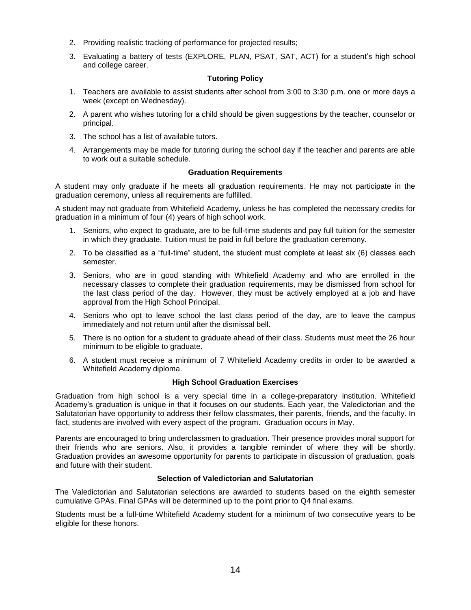- 2. Providing realistic tracking of performance for projected results;
- 3. Evaluating a battery of tests (EXPLORE, PLAN, PSAT, SAT, ACT) for a student's high school and college career.

## **Tutoring Policy**

- 1. Teachers are available to assist students after school from 3:00 to 3:30 p.m. one or more days a week (except on Wednesday).
- 2. A parent who wishes tutoring for a child should be given suggestions by the teacher, counselor or principal.
- 3. The school has a list of available tutors.
- 4. Arrangements may be made for tutoring during the school day if the teacher and parents are able to work out a suitable schedule.

## **Graduation Requirements**

A student may only graduate if he meets all graduation requirements. He may not participate in the graduation ceremony, unless all requirements are fulfilled.

A student may not graduate from Whitefield Academy, unless he has completed the necessary credits for graduation in a minimum of four (4) years of high school work.

- 1. Seniors, who expect to graduate, are to be full-time students and pay full tuition for the semester in which they graduate. Tuition must be paid in full before the graduation ceremony.
- 2. To be classified as a "full-time" student, the student must complete at least six (6) classes each semester.
- 3. Seniors, who are in good standing with Whitefield Academy and who are enrolled in the necessary classes to complete their graduation requirements, may be dismissed from school for the last class period of the day. However, they must be actively employed at a job and have approval from the High School Principal.
- 4. Seniors who opt to leave school the last class period of the day, are to leave the campus immediately and not return until after the dismissal bell.
- 5. There is no option for a student to graduate ahead of their class. Students must meet the 26 hour minimum to be eligible to graduate.
- 6. A student must receive a minimum of 7 Whitefield Academy credits in order to be awarded a Whitefield Academy diploma.

## **High School Graduation Exercises**

Graduation from high school is a very special time in a college-preparatory institution. Whitefield Academy's graduation is unique in that it focuses on our students. Each year, the Valedictorian and the Salutatorian have opportunity to address their fellow classmates, their parents, friends, and the faculty. In fact, students are involved with every aspect of the program. Graduation occurs in May.

Parents are encouraged to bring underclassmen to graduation. Their presence provides moral support for their friends who are seniors. Also, it provides a tangible reminder of where they will be shortly. Graduation provides an awesome opportunity for parents to participate in discussion of graduation, goals and future with their student.

## **Selection of Valedictorian and Salutatorian**

The Valedictorian and Salutatorian selections are awarded to students based on the eighth semester cumulative GPAs. Final GPAs will be determined up to the point prior to Q4 final exams.

Students must be a full-time Whitefield Academy student for a minimum of two consecutive years to be eligible for these honors.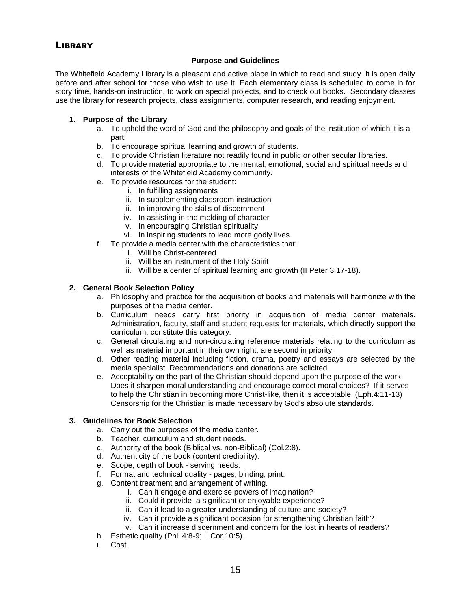## <span id="page-16-0"></span>**LIBRARY**

## **Purpose and Guidelines**

The Whitefield Academy Library is a pleasant and active place in which to read and study. It is open daily before and after school for those who wish to use it. Each elementary class is scheduled to come in for story time, hands-on instruction, to work on special projects, and to check out books. Secondary classes use the library for research projects, class assignments, computer research, and reading enjoyment.

## **1. Purpose of the Library**

- a. To uphold the word of God and the philosophy and goals of the institution of which it is a part.
- b. To encourage spiritual learning and growth of students.
- c. To provide Christian literature not readily found in public or other secular libraries.
- d. To provide material appropriate to the mental, emotional, social and spiritual needs and interests of the Whitefield Academy community.
- e. To provide resources for the student:
	- i. In fulfilling assignments
	- ii. In supplementing classroom instruction
	- iii. In improving the skills of discernment
	- iv. In assisting in the molding of character
	- v. In encouraging Christian spirituality
	- vi. In inspiring students to lead more godly lives.
- f. To provide a media center with the characteristics that:
	- i. Will be Christ-centered
	- ii. Will be an instrument of the Holy Spirit
	- iii. Will be a center of spiritual learning and growth (II Peter 3:17-18).

## **2. General Book Selection Policy**

- a. Philosophy and practice for the acquisition of books and materials will harmonize with the purposes of the media center.
- b. Curriculum needs carry first priority in acquisition of media center materials. Administration, faculty, staff and student requests for materials, which directly support the curriculum, constitute this category.
- c. General circulating and non-circulating reference materials relating to the curriculum as well as material important in their own right, are second in priority.
- d. Other reading material including fiction, drama, poetry and essays are selected by the media specialist. Recommendations and donations are solicited.
- e. Acceptability on the part of the Christian should depend upon the purpose of the work: Does it sharpen moral understanding and encourage correct moral choices? If it serves to help the Christian in becoming more Christ-like, then it is acceptable. (Eph.4:11-13) Censorship for the Christian is made necessary by God's absolute standards.

## **3. Guidelines for Book Selection**

- a. Carry out the purposes of the media center.
- b. Teacher, curriculum and student needs.
- c. Authority of the book (Biblical vs. non-Biblical) (Col.2:8).
- d. Authenticity of the book (content credibility).
- e. Scope, depth of book serving needs.
- f. Format and technical quality pages, binding, print.
- g. Content treatment and arrangement of writing.
	- i. Can it engage and exercise powers of imagination?
	- ii. Could it provide a significant or enjoyable experience?
	- iii. Can it lead to a greater understanding of culture and society?
	- iv. Can it provide a significant occasion for strengthening Christian faith?
	- v. Can it increase discernment and concern for the lost in hearts of readers?
- h. Esthetic quality (Phil.4:8-9; II Cor.10:5).
- i. Cost.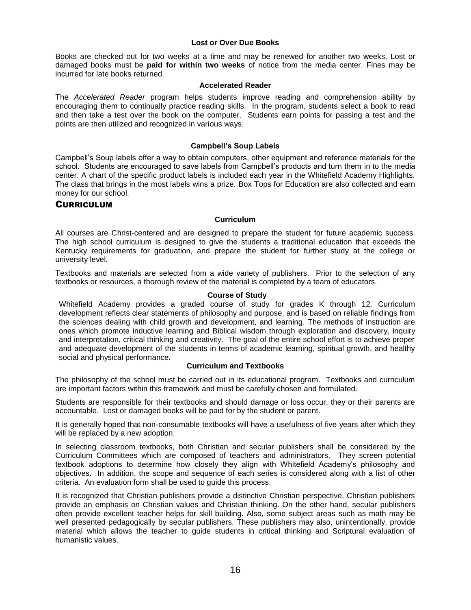## **Lost or Over Due Books**

Books are checked out for two weeks at a time and may be renewed for another two weeks. Lost or damaged books must be **paid for within two weeks** of notice from the media center. Fines may be incurred for late books returned.

## **Accelerated Reader**

The *Accelerated Reader* program helps students improve reading and comprehension ability by encouraging them to continually practice reading skills. In the program, students select a book to read and then take a test over the book on the computer. Students earn points for passing a test and the points are then utilized and recognized in various ways.

## **Campbell's Soup Labels**

Campbell's Soup labels offer a way to obtain computers, other equipment and reference materials for the school. Students are encouraged to save labels from Campbell's products and turn them in to the media center. A chart of the specific product labels is included each year in the Whitefield Academy Highlights. The class that brings in the most labels wins a prize. Box Tops for Education are also collected and earn money for our school.

## <span id="page-17-0"></span>**CURRICULUM**

## **Curriculum**

All courses are Christ-centered and are designed to prepare the student for future academic success. The high school curriculum is designed to give the students a traditional education that exceeds the Kentucky requirements for graduation, and prepare the student for further study at the college or university level.

Textbooks and materials are selected from a wide variety of publishers. Prior to the selection of any textbooks or resources, a thorough review of the material is completed by a team of educators.

## **Course of Study**

Whitefield Academy provides a graded course of study for grades K through 12. Curriculum development reflects clear statements of philosophy and purpose, and is based on reliable findings from the sciences dealing with child growth and development, and learning. The methods of instruction are ones which promote inductive learning and Biblical wisdom through exploration and discovery, inquiry and interpretation, critical thinking and creativity. The goal of the entire school effort is to achieve proper and adequate development of the students in terms of academic learning, spiritual growth, and healthy social and physical performance.

## **Curriculum and Textbooks**

The philosophy of the school must be carried out in its educational program. Textbooks and curriculum are important factors within this framework and must be carefully chosen and formulated.

Students are responsible for their textbooks and should damage or loss occur, they or their parents are accountable. Lost or damaged books will be paid for by the student or parent.

It is generally hoped that non-consumable textbooks will have a usefulness of five years after which they will be replaced by a new adoption.

In selecting classroom textbooks, both Christian and secular publishers shall be considered by the Curriculum Committees which are composed of teachers and administrators. They screen potential textbook adoptions to determine how closely they align with Whitefield Academy's philosophy and objectives. In addition, the scope and sequence of each series is considered along with a list of other criteria. An evaluation form shall be used to guide this process.

It is recognized that Christian publishers provide a distinctive Christian perspective. Christian publishers provide an emphasis on Christian values and Christian thinking. On the other hand, secular publishers often provide excellent teacher helps for skill building. Also, some subject areas such as math may be well presented pedagogically by secular publishers. These publishers may also, unintentionally, provide material which allows the teacher to guide students in critical thinking and Scriptural evaluation of humanistic values.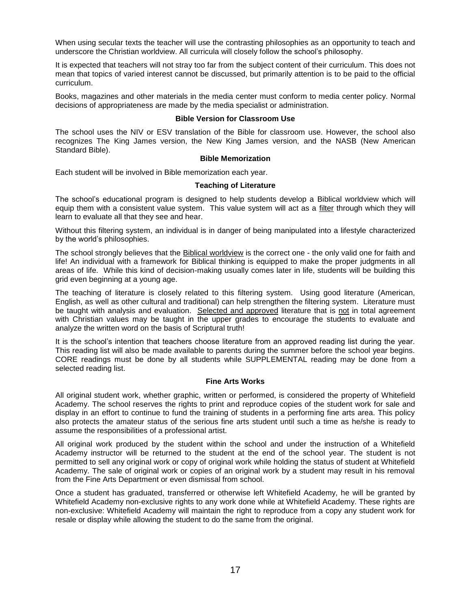When using secular texts the teacher will use the contrasting philosophies as an opportunity to teach and underscore the Christian worldview. All curricula will closely follow the school's philosophy.

It is expected that teachers will not stray too far from the subject content of their curriculum. This does not mean that topics of varied interest cannot be discussed, but primarily attention is to be paid to the official curriculum.

Books, magazines and other materials in the media center must conform to media center policy. Normal decisions of appropriateness are made by the media specialist or administration.

## **Bible Version for Classroom Use**

The school uses the NIV or ESV translation of the Bible for classroom use. However, the school also recognizes The King James version, the New King James version, and the NASB (New American Standard Bible).

## **Bible Memorization**

Each student will be involved in Bible memorization each year.

#### **Teaching of Literature**

The school's educational program is designed to help students develop a Biblical worldview which will equip them with a consistent value system. This value system will act as a filter through which they will learn to evaluate all that they see and hear.

Without this filtering system, an individual is in danger of being manipulated into a lifestyle characterized by the world's philosophies.

The school strongly believes that the Biblical worldview is the correct one - the only valid one for faith and life! An individual with a framework for Biblical thinking is equipped to make the proper judgments in all areas of life. While this kind of decision-making usually comes later in life, students will be building this grid even beginning at a young age.

The teaching of literature is closely related to this filtering system. Using good literature (American, English, as well as other cultural and traditional) can help strengthen the filtering system. Literature must be taught with analysis and evaluation. Selected and approved literature that is not in total agreement with Christian values may be taught in the upper grades to encourage the students to evaluate and analyze the written word on the basis of Scriptural truth!

It is the school's intention that teachers choose literature from an approved reading list during the year. This reading list will also be made available to parents during the summer before the school year begins. CORE readings must be done by all students while SUPPLEMENTAL reading may be done from a selected reading list.

## **Fine Arts Works**

All original student work, whether graphic, written or performed, is considered the property of Whitefield Academy. The school reserves the rights to print and reproduce copies of the student work for sale and display in an effort to continue to fund the training of students in a performing fine arts area. This policy also protects the amateur status of the serious fine arts student until such a time as he/she is ready to assume the responsibilities of a professional artist.

All original work produced by the student within the school and under the instruction of a Whitefield Academy instructor will be returned to the student at the end of the school year. The student is not permitted to sell any original work or copy of original work while holding the status of student at Whitefield Academy. The sale of original work or copies of an original work by a student may result in his removal from the Fine Arts Department or even dismissal from school.

Once a student has graduated, transferred or otherwise left Whitefield Academy, he will be granted by Whitefield Academy non-exclusive rights to any work done while at Whitefield Academy. These rights are non-exclusive: Whitefield Academy will maintain the right to reproduce from a copy any student work for resale or display while allowing the student to do the same from the original.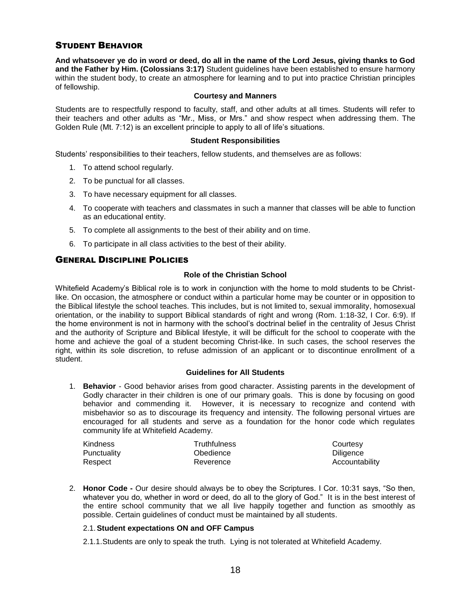## STUDENT BEHAVIOR

**And whatsoever ye do in word or deed, do all in the name of the Lord Jesus, giving thanks to God and the Father by Him. (Colossians 3:17)** Student guidelines have been established to ensure harmony within the student body, to create an atmosphere for learning and to put into practice Christian principles of fellowship.

## <span id="page-19-0"></span>**Courtesy and Manners**

Students are to respectfully respond to faculty, staff, and other adults at all times. Students will refer to their teachers and other adults as "Mr., Miss, or Mrs." and show respect when addressing them. The Golden Rule (Mt. 7:12) is an excellent principle to apply to all of life's situations.

#### **Student Responsibilities**

Students' responsibilities to their teachers, fellow students, and themselves are as follows:

- 1. To attend school regularly.
- 2. To be punctual for all classes.
- 3. To have necessary equipment for all classes.
- 4. To cooperate with teachers and classmates in such a manner that classes will be able to function as an educational entity.
- 5. To complete all assignments to the best of their ability and on time.
- 6. To participate in all class activities to the best of their ability.

## GENERAL DISCIPLINE POLICIES

## **Role of the Christian School**

Whitefield Academy's Biblical role is to work in conjunction with the home to mold students to be Christlike. On occasion, the atmosphere or conduct within a particular home may be counter or in opposition to the Biblical lifestyle the school teaches. This includes, but is not limited to, sexual immorality, homosexual orientation, or the inability to support Biblical standards of right and wrong (Rom. 1:18-32, I Cor. 6:9). If the home environment is not in harmony with the school's doctrinal belief in the centrality of Jesus Christ and the authority of Scripture and Biblical lifestyle, it will be difficult for the school to cooperate with the home and achieve the goal of a student becoming Christ-like. In such cases, the school reserves the right, within its sole discretion, to refuse admission of an applicant or to discontinue enrollment of a student.

## **Guidelines for All Students**

1. **Behavior** - Good behavior arises from good character. Assisting parents in the development of Godly character in their children is one of our primary goals. This is done by focusing on good behavior and commending it. However, it is necessary to recognize and contend with misbehavior so as to discourage its frequency and intensity. The following personal virtues are encouraged for all students and serve as a foundation for the honor code which regulates community life at Whitefield Academy.

| <b>Kindness</b> | <b>Truthfulness</b> | Courtesy       |
|-----------------|---------------------|----------------|
| Punctuality     | Obedience           | Diligence      |
| Respect         | Reverence           | Accountability |

2. **Honor Code -** Our desire should always be to obey the Scriptures. I Cor. 10:31 says, "So then, whatever you do, whether in word or deed, do all to the glory of God." It is in the best interest of the entire school community that we all live happily together and function as smoothly as possible. Certain guidelines of conduct must be maintained by all students.

## 2.1.**Student expectations ON and OFF Campus**

2.1.1.Students are only to speak the truth. Lying is not tolerated at Whitefield Academy.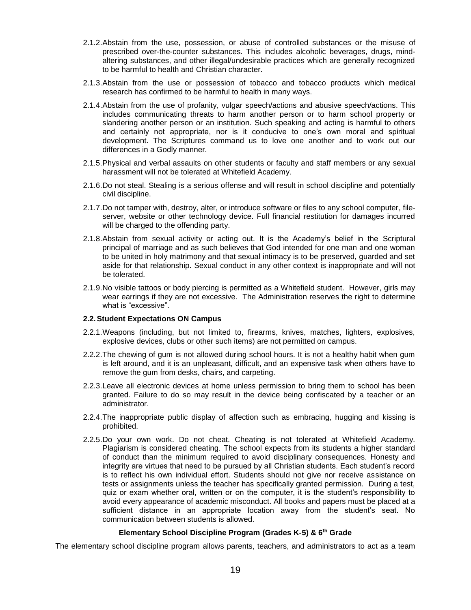- 2.1.2.Abstain from the use, possession, or abuse of controlled substances or the misuse of prescribed over-the-counter substances. This includes alcoholic beverages, drugs, mindaltering substances, and other illegal/undesirable practices which are generally recognized to be harmful to health and Christian character.
- 2.1.3.Abstain from the use or possession of tobacco and tobacco products which medical research has confirmed to be harmful to health in many ways.
- 2.1.4.Abstain from the use of profanity, vulgar speech/actions and abusive speech/actions. This includes communicating threats to harm another person or to harm school property or slandering another person or an institution. Such speaking and acting is harmful to others and certainly not appropriate, nor is it conducive to one's own moral and spiritual development. The Scriptures command us to love one another and to work out our differences in a Godly manner.
- 2.1.5.Physical and verbal assaults on other students or faculty and staff members or any sexual harassment will not be tolerated at Whitefield Academy.
- 2.1.6.Do not steal. Stealing is a serious offense and will result in school discipline and potentially civil discipline.
- 2.1.7.Do not tamper with, destroy, alter, or introduce software or files to any school computer, fileserver, website or other technology device. Full financial restitution for damages incurred will be charged to the offending party.
- 2.1.8.Abstain from sexual activity or acting out. It is the Academy's belief in the Scriptural principal of marriage and as such believes that God intended for one man and one woman to be united in holy matrimony and that sexual intimacy is to be preserved, guarded and set aside for that relationship. Sexual conduct in any other context is inappropriate and will not be tolerated.
- 2.1.9.No visible tattoos or body piercing is permitted as a Whitefield student. However, girls may wear earrings if they are not excessive. The Administration reserves the right to determine what is "excessive".

#### **2.2.Student Expectations ON Campus**

- 2.2.1.Weapons (including, but not limited to, firearms, knives, matches, lighters, explosives, explosive devices, clubs or other such items) are not permitted on campus.
- 2.2.2.The chewing of gum is not allowed during school hours. It is not a healthy habit when gum is left around, and it is an unpleasant, difficult, and an expensive task when others have to remove the gum from desks, chairs, and carpeting.
- 2.2.3.Leave all electronic devices at home unless permission to bring them to school has been granted. Failure to do so may result in the device being confiscated by a teacher or an administrator.
- 2.2.4.The inappropriate public display of affection such as embracing, hugging and kissing is prohibited.
- 2.2.5.Do your own work. Do not cheat. Cheating is not tolerated at Whitefield Academy. Plagiarism is considered cheating. The school expects from its students a higher standard of conduct than the minimum required to avoid disciplinary consequences. Honesty and integrity are virtues that need to be pursued by all Christian students. Each student's record is to reflect his own individual effort. Students should not give nor receive assistance on tests or assignments unless the teacher has specifically granted permission. During a test, quiz or exam whether oral, written or on the computer, it is the student's responsibility to avoid every appearance of academic misconduct. All books and papers must be placed at a sufficient distance in an appropriate location away from the student's seat. No communication between students is allowed.

## **Elementary School Discipline Program (Grades K-5) & 6th Grade**

The elementary school discipline program allows parents, teachers, and administrators to act as a team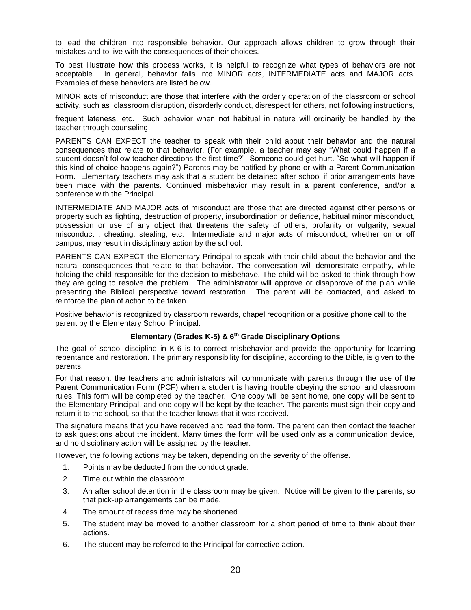to lead the children into responsible behavior. Our approach allows children to grow through their mistakes and to live with the consequences of their choices.

To best illustrate how this process works, it is helpful to recognize what types of behaviors are not acceptable. In general, behavior falls into MINOR acts, INTERMEDIATE acts and MAJOR acts. Examples of these behaviors are listed below.

MINOR acts of misconduct are those that interfere with the orderly operation of the classroom or school activity, such as classroom disruption, disorderly conduct, disrespect for others, not following instructions,

frequent lateness, etc. Such behavior when not habitual in nature will ordinarily be handled by the teacher through counseling.

PARENTS CAN EXPECT the teacher to speak with their child about their behavior and the natural consequences that relate to that behavior. (For example, a teacher may say "What could happen if a student doesn't follow teacher directions the first time?" Someone could get hurt. "So what will happen if this kind of choice happens again?") Parents may be notified by phone or with a Parent Communication Form. Elementary teachers may ask that a student be detained after school if prior arrangements have been made with the parents. Continued misbehavior may result in a parent conference, and/or a conference with the Principal.

INTERMEDIATE AND MAJOR acts of misconduct are those that are directed against other persons or property such as fighting, destruction of property, insubordination or defiance, habitual minor misconduct, possession or use of any object that threatens the safety of others, profanity or vulgarity, sexual misconduct , cheating, stealing, etc. Intermediate and major acts of misconduct, whether on or off campus, may result in disciplinary action by the school.

PARENTS CAN EXPECT the Elementary Principal to speak with their child about the behavior and the natural consequences that relate to that behavior. The conversation will demonstrate empathy, while holding the child responsible for the decision to misbehave. The child will be asked to think through how they are going to resolve the problem. The administrator will approve or disapprove of the plan while presenting the Biblical perspective toward restoration. The parent will be contacted, and asked to reinforce the plan of action to be taken.

Positive behavior is recognized by classroom rewards, chapel recognition or a positive phone call to the parent by the Elementary School Principal.

## **Elementary (Grades K-5) & 6th Grade Disciplinary Options**

The goal of school discipline in K-6 is to correct misbehavior and provide the opportunity for learning repentance and restoration. The primary responsibility for discipline, according to the Bible, is given to the parents.

For that reason, the teachers and administrators will communicate with parents through the use of the Parent Communication Form (PCF) when a student is having trouble obeying the school and classroom rules. This form will be completed by the teacher. One copy will be sent home, one copy will be sent to the Elementary Principal, and one copy will be kept by the teacher. The parents must sign their copy and return it to the school, so that the teacher knows that it was received.

The signature means that you have received and read the form. The parent can then contact the teacher to ask questions about the incident. Many times the form will be used only as a communication device, and no disciplinary action will be assigned by the teacher.

However, the following actions may be taken, depending on the severity of the offense.

- 1. Points may be deducted from the conduct grade.
- 2. Time out within the classroom.
- 3. An after school detention in the classroom may be given. Notice will be given to the parents, so that pick-up arrangements can be made.
- 4. The amount of recess time may be shortened.
- 5. The student may be moved to another classroom for a short period of time to think about their actions.
- 6. The student may be referred to the Principal for corrective action.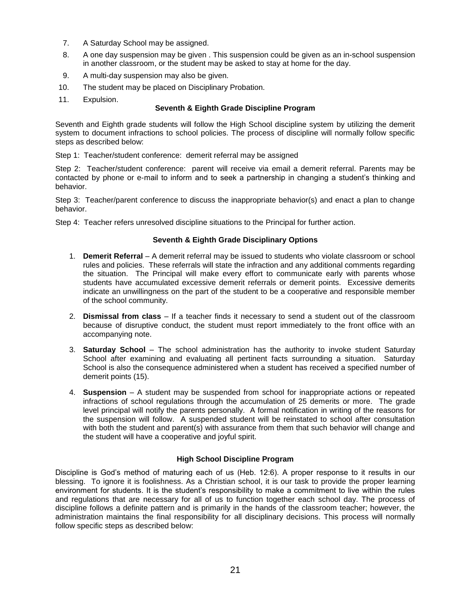- 7. A Saturday School may be assigned.
- 8. A one day suspension may be given . This suspension could be given as an in-school suspension in another classroom, or the student may be asked to stay at home for the day.
- 9. A multi-day suspension may also be given.
- 10. The student may be placed on Disciplinary Probation.
- 11. Expulsion.

## **Seventh & Eighth Grade Discipline Program**

Seventh and Eighth grade students will follow the High School discipline system by utilizing the demerit system to document infractions to school policies. The process of discipline will normally follow specific steps as described below:

Step 1: Teacher/student conference: demerit referral may be assigned

Step 2: Teacher/student conference: parent will receive via email a demerit referral. Parents may be contacted by phone or e-mail to inform and to seek a partnership in changing a student's thinking and behavior.

Step 3: Teacher/parent conference to discuss the inappropriate behavior(s) and enact a plan to change behavior.

Step 4: Teacher refers unresolved discipline situations to the Principal for further action.

## **Seventh & Eighth Grade Disciplinary Options**

- 1. **Demerit Referral** A demerit referral may be issued to students who violate classroom or school rules and policies. These referrals will state the infraction and any additional comments regarding the situation. The Principal will make every effort to communicate early with parents whose students have accumulated excessive demerit referrals or demerit points. Excessive demerits indicate an unwillingness on the part of the student to be a cooperative and responsible member of the school community.
- 2. **Dismissal from class** If a teacher finds it necessary to send a student out of the classroom because of disruptive conduct, the student must report immediately to the front office with an accompanying note.
- 3. **Saturday School** The school administration has the authority to invoke student Saturday School after examining and evaluating all pertinent facts surrounding a situation. Saturday School is also the consequence administered when a student has received a specified number of demerit points (15).
- 4. **Suspension** A student may be suspended from school for inappropriate actions or repeated infractions of school regulations through the accumulation of 25 demerits or more. The grade level principal will notify the parents personally. A formal notification in writing of the reasons for the suspension will follow. A suspended student will be reinstated to school after consultation with both the student and parent(s) with assurance from them that such behavior will change and the student will have a cooperative and joyful spirit.

## **High School Discipline Program**

Discipline is God's method of maturing each of us (Heb. 12:6). A proper response to it results in our blessing. To ignore it is foolishness. As a Christian school, it is our task to provide the proper learning environment for students. It is the student's responsibility to make a commitment to live within the rules and regulations that are necessary for all of us to function together each school day. The process of discipline follows a definite pattern and is primarily in the hands of the classroom teacher; however, the administration maintains the final responsibility for all disciplinary decisions. This process will normally follow specific steps as described below: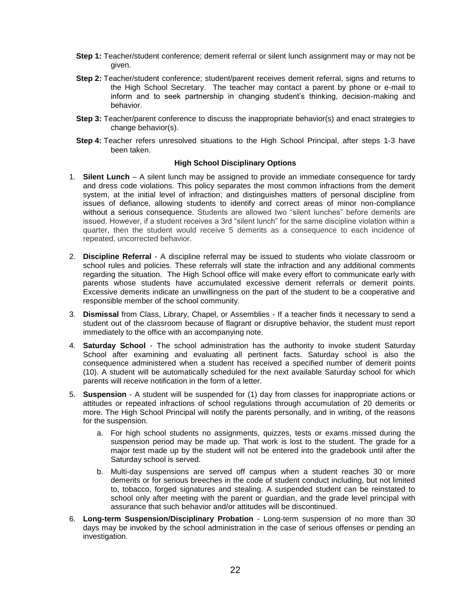- **Step 1:** Teacher/student conference; demerit referral or silent lunch assignment may or may not be given.
- **Step 2:** Teacher/student conference; student/parent receives demerit referral, signs and returns to the High School Secretary. The teacher may contact a parent by phone or e-mail to inform and to seek partnership in changing student's thinking, decision-making and behavior.
- **Step 3:** Teacher/parent conference to discuss the inappropriate behavior(s) and enact strategies to change behavior(s).
- **Step 4:** Teacher refers unresolved situations to the High School Principal, after steps 1-3 have been taken.

## **High School Disciplinary Options**

- 1. **Silent Lunch** A silent lunch may be assigned to provide an immediate consequence for tardy and dress code violations. This policy separates the most common infractions from the demerit system, at the initial level of infraction; and distinguishes matters of personal discipline from issues of defiance, allowing students to identify and correct areas of minor non-compliance without a serious consequence. Students are allowed two "silent lunches" before demerits are issued. However, if a student receives a 3rd "silent lunch" for the same discipline violation within a quarter, then the student would receive 5 demerits as a consequence to each incidence of repeated, uncorrected behavior.
- 2. **Discipline Referral** A discipline referral may be issued to students who violate classroom or school rules and policies. These referrals will state the infraction and any additional comments regarding the situation. The High School office will make every effort to communicate early with parents whose students have accumulated excessive demerit referrals or demerit points. Excessive demerits indicate an unwillingness on the part of the student to be a cooperative and responsible member of the school community.
- 3. **Dismissal** from Class, Library, Chapel, or Assemblies If a teacher finds it necessary to send a student out of the classroom because of flagrant or disruptive behavior, the student must report immediately to the office with an accompanying note.
- 4. **Saturday School** The school administration has the authority to invoke student Saturday School after examining and evaluating all pertinent facts. Saturday school is also the consequence administered when a student has received a specified number of demerit points (10). A student will be automatically scheduled for the next available Saturday school for which parents will receive notification in the form of a letter.
- 5. **Suspension** A student will be suspended for (1) day from classes for inappropriate actions or attitudes or repeated infractions of school regulations through accumulation of 20 demerits or more. The High School Principal will notify the parents personally, and in writing, of the reasons for the suspension.
	- a. For high school students no assignments, quizzes, tests or exams missed during the suspension period may be made up. That work is lost to the student. The grade for a major test made up by the student will not be entered into the gradebook until after the Saturday school is served.
	- b. Multi-day suspensions are served off campus when a student reaches 30 or more demerits or for serious breeches in the code of student conduct including, but not limited to, tobacco, forged signatures and stealing. A suspended student can be reinstated to school only after meeting with the parent or guardian, and the grade level principal with assurance that such behavior and/or attitudes will be discontinued.
- 6. **Long-term Suspension/Disciplinary Probation** Long-term suspension of no more than 30 days may be invoked by the school administration in the case of serious offenses or pending an investigation.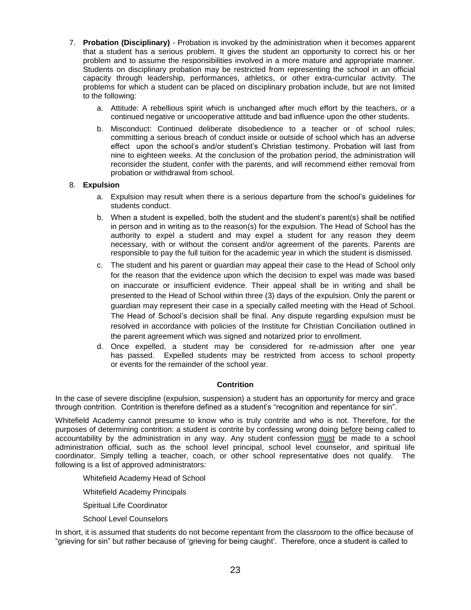- 7. **Probation (Disciplinary)** Probation is invoked by the administration when it becomes apparent that a student has a serious problem. It gives the student an opportunity to correct his or her problem and to assume the responsibilities involved in a more mature and appropriate manner. Students on disciplinary probation may be restricted from representing the school in an official capacity through leadership, performances, athletics, or other extra-curricular activity. The problems for which a student can be placed on disciplinary probation include, but are not limited to the following:
	- a. Attitude: A rebellious spirit which is unchanged after much effort by the teachers, or a continued negative or uncooperative attitude and bad influence upon the other students.
	- b. Misconduct: Continued deliberate disobedience to a teacher or of school rules; committing a serious breach of conduct inside or outside of school which has an adverse effect upon the school's and/or student's Christian testimony. Probation will last from nine to eighteen weeks. At the conclusion of the probation period, the administration will reconsider the student, confer with the parents, and will recommend either removal from probation or withdrawal from school.

## 8. **Expulsion**

- a. Expulsion may result when there is a serious departure from the school's guidelines for students conduct.
- b. When a student is expelled, both the student and the student's parent(s) shall be notified in person and in writing as to the reason(s) for the expulsion. The Head of School has the authority to expel a student and may expel a student for any reason they deem necessary, with or without the consent and/or agreement of the parents. Parents are responsible to pay the full tuition for the academic year in which the student is dismissed.
- c. The student and his parent or guardian may appeal their case to the Head of School only for the reason that the evidence upon which the decision to expel was made was based on inaccurate or insufficient evidence. Their appeal shall be in writing and shall be presented to the Head of School within three (3) days of the expulsion. Only the parent or guardian may represent their case in a specially called meeting with the Head of School. The Head of School's decision shall be final. Any dispute regarding expulsion must be resolved in accordance with policies of the Institute for Christian Conciliation outlined in the parent agreement which was signed and notarized prior to enrollment.
- d. Once expelled, a student may be considered for re-admission after one year has passed. Expelled students may be restricted from access to school property or events for the remainder of the school year.

## **Contrition**

In the case of severe discipline (expulsion, suspension) a student has an opportunity for mercy and grace through contrition. Contrition is therefore defined as a student's "recognition and repentance for sin".

Whitefield Academy cannot presume to know who is truly contrite and who is not. Therefore, for the purposes of determining contrition: a student is contrite by confessing wrong doing before being called to accountability by the administration in any way. Any student confession must be made to a school administration official, such as the school level principal, school level counselor, and spiritual life coordinator. Simply telling a teacher, coach, or other school representative does not qualify. The following is a list of approved administrators:

Whitefield Academy Head of School

Whitefield Academy Principals

Spiritual Life Coordinator

School Level Counselors

In short, it is assumed that students do not become repentant from the classroom to the office because of "grieving for sin" but rather because of 'grieving for being caught'. Therefore, once a student is called to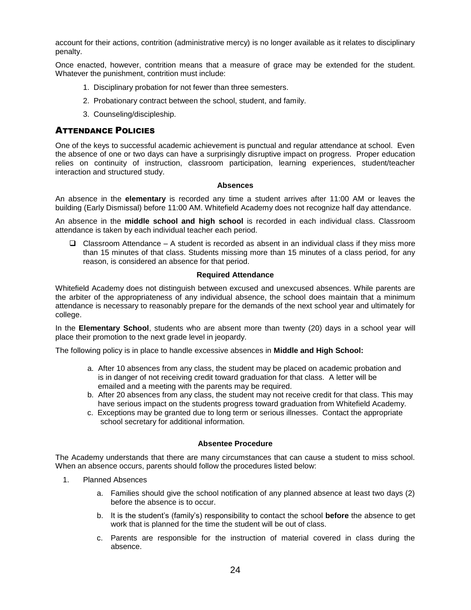account for their actions, contrition (administrative mercy) is no longer available as it relates to disciplinary penalty.

Once enacted, however, contrition means that a measure of grace may be extended for the student. Whatever the punishment, contrition must include:

- 1. Disciplinary probation for not fewer than three semesters.
- 2. Probationary contract between the school, student, and family.
- <span id="page-25-0"></span>3. Counseling/discipleship.

## ATTENDANCE POLICIES

One of the keys to successful academic achievement is punctual and regular attendance at school. Even the absence of one or two days can have a surprisingly disruptive impact on progress. Proper education relies on continuity of instruction, classroom participation, learning experiences, student/teacher interaction and structured study.

## **Absences**

An absence in the **elementary** is recorded any time a student arrives after 11:00 AM or leaves the building (Early Dismissal) before 11:00 AM. Whitefield Academy does not recognize half day attendance.

An absence in the **middle school and high school** is recorded in each individual class. Classroom attendance is taken by each individual teacher each period.

 $\Box$  Classroom Attendance – A student is recorded as absent in an individual class if they miss more than 15 minutes of that class. Students missing more than 15 minutes of a class period, for any reason, is considered an absence for that period.

## **Required Attendance**

Whitefield Academy does not distinguish between excused and unexcused absences. While parents are the arbiter of the appropriateness of any individual absence, the school does maintain that a minimum attendance is necessary to reasonably prepare for the demands of the next school year and ultimately for college.

In the **Elementary School**, students who are absent more than twenty (20) days in a school year will place their promotion to the next grade level in jeopardy.

The following policy is in place to handle excessive absences in **Middle and High School:**

- a. After 10 absences from any class, the student may be placed on academic probation and is in danger of not receiving credit toward graduation for that class. A letter will be emailed and a meeting with the parents may be required.
- b. After 20 absences from any class, the student may not receive credit for that class. This may have serious impact on the students progress toward graduation from Whitefield Academy.
- c. Exceptions may be granted due to long term or serious illnesses. Contact the appropriate school secretary for additional information.

## **Absentee Procedure**

The Academy understands that there are many circumstances that can cause a student to miss school. When an absence occurs, parents should follow the procedures listed below:

- 1. Planned Absences
	- a. Families should give the school notification of any planned absence at least two days (2) before the absence is to occur.
	- b. It is the student's (family's) responsibility to contact the school **before** the absence to get work that is planned for the time the student will be out of class.
	- c. Parents are responsible for the instruction of material covered in class during the absence.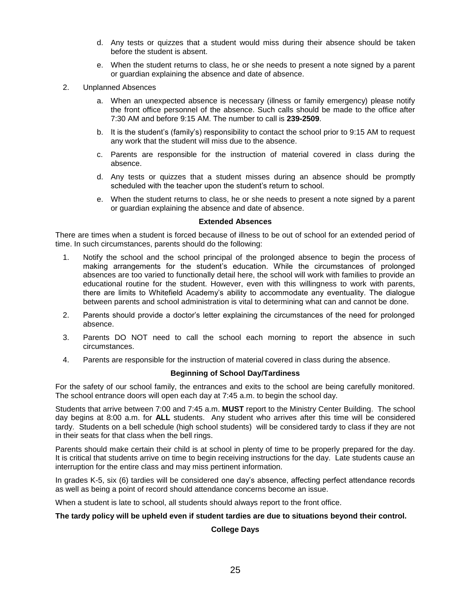- d. Any tests or quizzes that a student would miss during their absence should be taken before the student is absent.
- e. When the student returns to class, he or she needs to present a note signed by a parent or guardian explaining the absence and date of absence.
- 2. Unplanned Absences
	- a. When an unexpected absence is necessary (illness or family emergency) please notify the front office personnel of the absence. Such calls should be made to the office after 7:30 AM and before 9:15 AM. The number to call is **239-2509**.
	- b. It is the student's (family's) responsibility to contact the school prior to 9:15 AM to request any work that the student will miss due to the absence.
	- c. Parents are responsible for the instruction of material covered in class during the absence.
	- d. Any tests or quizzes that a student misses during an absence should be promptly scheduled with the teacher upon the student's return to school.
	- e. When the student returns to class, he or she needs to present a note signed by a parent or guardian explaining the absence and date of absence.

#### **Extended Absences**

There are times when a student is forced because of illness to be out of school for an extended period of time. In such circumstances, parents should do the following:

- 1. Notify the school and the school principal of the prolonged absence to begin the process of making arrangements for the student's education. While the circumstances of prolonged absences are too varied to functionally detail here, the school will work with families to provide an educational routine for the student. However, even with this willingness to work with parents, there are limits to Whitefield Academy's ability to accommodate any eventuality. The dialogue between parents and school administration is vital to determining what can and cannot be done.
- 2. Parents should provide a doctor's letter explaining the circumstances of the need for prolonged absence.
- 3. Parents DO NOT need to call the school each morning to report the absence in such circumstances.
- 4. Parents are responsible for the instruction of material covered in class during the absence.

## **Beginning of School Day/Tardiness**

For the safety of our school family, the entrances and exits to the school are being carefully monitored. The school entrance doors will open each day at 7:45 a.m. to begin the school day.

Students that arrive between 7:00 and 7:45 a.m. **MUST** report to the Ministry Center Building. The school day begins at 8:00 a.m. for **ALL** students. Any student who arrives after this time will be considered tardy. Students on a bell schedule (high school students) will be considered tardy to class if they are not in their seats for that class when the bell rings.

Parents should make certain their child is at school in plenty of time to be properly prepared for the day. It is critical that students arrive on time to begin receiving instructions for the day. Late students cause an interruption for the entire class and may miss pertinent information.

In grades K-5, six (6) tardies will be considered one day's absence, affecting perfect attendance records as well as being a point of record should attendance concerns become an issue.

When a student is late to school, all students should always report to the front office.

#### **The tardy policy will be upheld even if student tardies are due to situations beyond their control.**

## **College Days**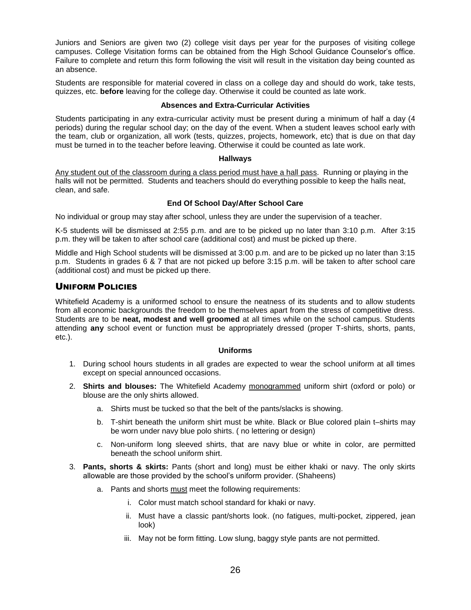Juniors and Seniors are given two (2) college visit days per year for the purposes of visiting college campuses. College Visitation forms can be obtained from the High School Guidance Counselor's office. Failure to complete and return this form following the visit will result in the visitation day being counted as an absence.

Students are responsible for material covered in class on a college day and should do work, take tests, quizzes, etc. **before** leaving for the college day. Otherwise it could be counted as late work.

## **Absences and Extra-Curricular Activities**

Students participating in any extra-curricular activity must be present during a minimum of half a day (4 periods) during the regular school day; on the day of the event. When a student leaves school early with the team, club or organization, all work (tests, quizzes, projects, homework, etc) that is due on that day must be turned in to the teacher before leaving. Otherwise it could be counted as late work.

## **Hallways**

Any student out of the classroom during a class period must have a hall pass. Running or playing in the halls will not be permitted. Students and teachers should do everything possible to keep the halls neat, clean, and safe.

## **End Of School Day/After School Care**

No individual or group may stay after school, unless they are under the supervision of a teacher.

K-5 students will be dismissed at 2:55 p.m. and are to be picked up no later than 3:10 p.m. After 3:15 p.m. they will be taken to after school care (additional cost) and must be picked up there.

Middle and High School students will be dismissed at 3:00 p.m. and are to be picked up no later than 3:15 p.m. Students in grades 6 & 7 that are not picked up before 3:15 p.m. will be taken to after school care (additional cost) and must be picked up there.

## UNIFORM POLICIES

Whitefield Academy is a uniformed school to ensure the neatness of its students and to allow students from all economic backgrounds the freedom to be themselves apart from the stress of competitive dress. Students are to be **neat, modest and well groomed** at all times while on the school campus. Students attending **any** school event or function must be appropriately dressed (proper T-shirts, shorts, pants, etc.).

## **Uniforms**

- 1. During school hours students in all grades are expected to wear the school uniform at all times except on special announced occasions.
- 2. **Shirts and blouses:** The Whitefield Academy monogrammed uniform shirt (oxford or polo) or blouse are the only shirts allowed.
	- a. Shirts must be tucked so that the belt of the pants/slacks is showing.
	- b. T-shirt beneath the uniform shirt must be white. Black or Blue colored plain t–shirts may be worn under navy blue polo shirts. ( no lettering or design)
	- c. Non-uniform long sleeved shirts, that are navy blue or white in color, are permitted beneath the school uniform shirt.
- 3. **Pants, shorts & skirts:** Pants (short and long) must be either khaki or navy. The only skirts allowable are those provided by the school's uniform provider. (Shaheens)
	- a. Pants and shorts must meet the following requirements:
		- i. Color must match school standard for khaki or navy.
		- ii. Must have a classic pant/shorts look. (no fatigues, multi-pocket, zippered, jean look)
		- iii. May not be form fitting. Low slung, baggy style pants are not permitted.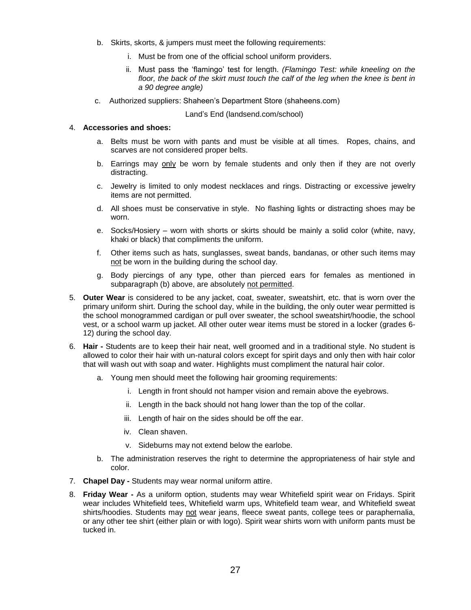- b. Skirts, skorts, & jumpers must meet the following requirements:
	- i. Must be from one of the official school uniform providers.
	- ii. Must pass the 'flamingo' test for length. *(Flamingo Test: while kneeling on the floor, the back of the skirt must touch the calf of the leg when the knee is bent in a 90 degree angle)*
- c. Authorized suppliers: Shaheen's Department Store (shaheens.com)

Land's End (landsend.com/school)

#### 4. **Accessories and shoes:**

- a. Belts must be worn with pants and must be visible at all times. Ropes, chains, and scarves are not considered proper belts.
- b. Earrings may only be worn by female students and only then if they are not overly distracting.
- c. Jewelry is limited to only modest necklaces and rings. Distracting or excessive jewelry items are not permitted.
- d. All shoes must be conservative in style. No flashing lights or distracting shoes may be worn.
- e. Socks/Hosiery worn with shorts or skirts should be mainly a solid color (white, navy, khaki or black) that compliments the uniform.
- f. Other items such as hats, sunglasses, sweat bands, bandanas, or other such items may not be worn in the building during the school day.
- g. Body piercings of any type, other than pierced ears for females as mentioned in subparagraph (b) above, are absolutely not permitted.
- 5. **Outer Wear** is considered to be any jacket, coat, sweater, sweatshirt, etc. that is worn over the primary uniform shirt. During the school day, while in the building, the only outer wear permitted is the school monogrammed cardigan or pull over sweater, the school sweatshirt/hoodie, the school vest, or a school warm up jacket. All other outer wear items must be stored in a locker (grades 6- 12) during the school day.
- 6. **Hair -** Students are to keep their hair neat, well groomed and in a traditional style. No student is allowed to color their hair with un-natural colors except for spirit days and only then with hair color that will wash out with soap and water. Highlights must compliment the natural hair color.
	- a. Young men should meet the following hair grooming requirements:
		- i. Length in front should not hamper vision and remain above the eyebrows.
		- ii. Length in the back should not hang lower than the top of the collar.
		- iii. Length of hair on the sides should be off the ear.
		- iv. Clean shaven.
		- v. Sideburns may not extend below the earlobe.
	- b. The administration reserves the right to determine the appropriateness of hair style and color.
- 7. **Chapel Day -** Students may wear normal uniform attire.
- 8. **Friday Wear -** As a uniform option, students may wear Whitefield spirit wear on Fridays. Spirit wear includes Whitefield tees, Whitefield warm ups, Whitefield team wear, and Whitefield sweat shirts/hoodies. Students may not wear jeans, fleece sweat pants, college tees or paraphernalia, or any other tee shirt (either plain or with logo). Spirit wear shirts worn with uniform pants must be tucked in.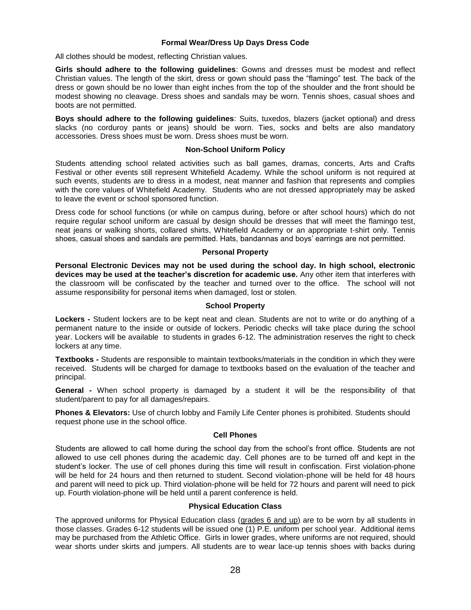## **Formal Wear/Dress Up Days Dress Code**

All clothes should be modest, reflecting Christian values.

**Girls should adhere to the following guidelines**: Gowns and dresses must be modest and reflect Christian values. The length of the skirt, dress or gown should pass the "flamingo" test. The back of the dress or gown should be no lower than eight inches from the top of the shoulder and the front should be modest showing no cleavage. Dress shoes and sandals may be worn. Tennis shoes, casual shoes and boots are not permitted.

**Boys should adhere to the following guidelines**: Suits, tuxedos, blazers (jacket optional) and dress slacks (no corduroy pants or jeans) should be worn. Ties, socks and belts are also mandatory accessories. Dress shoes must be worn. Dress shoes must be worn.

#### **Non-School Uniform Policy**

Students attending school related activities such as ball games, dramas, concerts, Arts and Crafts Festival or other events still represent Whitefield Academy. While the school uniform is not required at such events, students are to dress in a modest, neat manner and fashion that represents and complies with the core values of Whitefield Academy. Students who are not dressed appropriately may be asked to leave the event or school sponsored function.

Dress code for school functions (or while on campus during, before or after school hours) which do not require regular school uniform are casual by design should be dresses that will meet the flamingo test, neat jeans or walking shorts, collared shirts, Whitefield Academy or an appropriate t-shirt only. Tennis shoes, casual shoes and sandals are permitted. Hats, bandannas and boys' earrings are not permitted.

#### **Personal Property**

**Personal Electronic Devices may not be used during the school day. In high school, electronic devices may be used at the teacher's discretion for academic use.** Any other item that interferes with the classroom will be confiscated by the teacher and turned over to the office. The school will not assume responsibility for personal items when damaged, lost or stolen.

#### **School Property**

**Lockers -** Student lockers are to be kept neat and clean. Students are not to write or do anything of a permanent nature to the inside or outside of lockers. Periodic checks will take place during the school year. Lockers will be available to students in grades 6-12. The administration reserves the right to check lockers at any time.

**Textbooks -** Students are responsible to maintain textbooks/materials in the condition in which they were received. Students will be charged for damage to textbooks based on the evaluation of the teacher and principal.

**General -** When school property is damaged by a student it will be the responsibility of that student/parent to pay for all damages/repairs.

**Phones & Elevators:** Use of church lobby and Family Life Center phones is prohibited. Students should request phone use in the school office.

## **Cell Phones**

Students are allowed to call home during the school day from the school's front office. Students are not allowed to use cell phones during the academic day. Cell phones are to be turned off and kept in the student's locker. The use of cell phones during this time will result in confiscation. First violation-phone will be held for 24 hours and then returned to student. Second violation-phone will be held for 48 hours and parent will need to pick up. Third violation-phone will be held for 72 hours and parent will need to pick up. Fourth violation-phone will be held until a parent conference is held.

## **Physical Education Class**

The approved uniforms for Physical Education class (grades 6 and up) are to be worn by all students in those classes. Grades 6-12 students will be issued one (1) P.E. uniform per school year. Additional items may be purchased from the Athletic Office. Girls in lower grades, where uniforms are not required, should wear shorts under skirts and jumpers. All students are to wear lace-up tennis shoes with backs during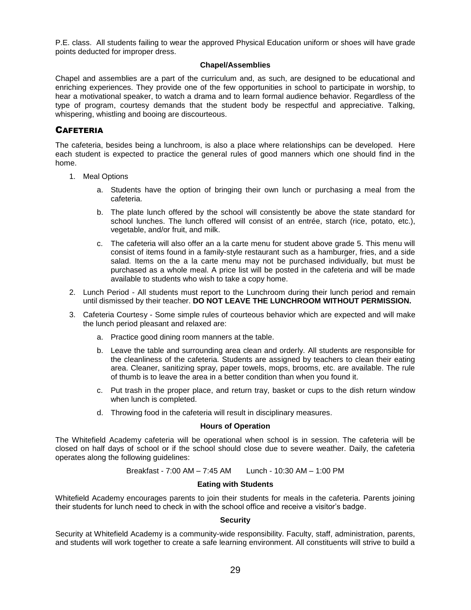P.E. class. All students failing to wear the approved Physical Education uniform or shoes will have grade points deducted for improper dress.

#### **Chapel/Assemblies**

Chapel and assemblies are a part of the curriculum and, as such, are designed to be educational and enriching experiences. They provide one of the few opportunities in school to participate in worship, to hear a motivational speaker, to watch a drama and to learn formal audience behavior. Regardless of the type of program, courtesy demands that the student body be respectful and appreciative. Talking, whispering, whistling and booing are discourteous.

## <span id="page-30-0"></span>**CAFETERIA**

The cafeteria, besides being a lunchroom, is also a place where relationships can be developed. Here each student is expected to practice the general rules of good manners which one should find in the home.

- 1. Meal Options
	- a. Students have the option of bringing their own lunch or purchasing a meal from the cafeteria.
	- b. The plate lunch offered by the school will consistently be above the state standard for school lunches. The lunch offered will consist of an entrée, starch (rice, potato, etc.), vegetable, and/or fruit, and milk.
	- c. The cafeteria will also offer an a la carte menu for student above grade 5. This menu will consist of items found in a family-style restaurant such as a hamburger, fries, and a side salad. Items on the a la carte menu may not be purchased individually, but must be purchased as a whole meal. A price list will be posted in the cafeteria and will be made available to students who wish to take a copy home.
- 2. Lunch Period All students must report to the Lunchroom during their lunch period and remain until dismissed by their teacher. **DO NOT LEAVE THE LUNCHROOM WITHOUT PERMISSION.**
- 3. Cafeteria Courtesy Some simple rules of courteous behavior which are expected and will make the lunch period pleasant and relaxed are:
	- a. Practice good dining room manners at the table.
	- b. Leave the table and surrounding area clean and orderly. All students are responsible for the cleanliness of the cafeteria. Students are assigned by teachers to clean their eating area. Cleaner, sanitizing spray, paper towels, mops, brooms, etc. are available. The rule of thumb is to leave the area in a better condition than when you found it.
	- c. Put trash in the proper place, and return tray, basket or cups to the dish return window when lunch is completed.
	- d. Throwing food in the cafeteria will result in disciplinary measures.

## **Hours of Operation**

The Whitefield Academy cafeteria will be operational when school is in session. The cafeteria will be closed on half days of school or if the school should close due to severe weather. Daily, the cafeteria operates along the following guidelines:

Breakfast - 7:00 AM – 7:45 AM Lunch - 10:30 AM – 1:00 PM

## **Eating with Students**

Whitefield Academy encourages parents to join their students for meals in the cafeteria. Parents joining their students for lunch need to check in with the school office and receive a visitor's badge.

## **Security**

Security at Whitefield Academy is a community-wide responsibility. Faculty, staff, administration, parents, and students will work together to create a safe learning environment. All constituents will strive to build a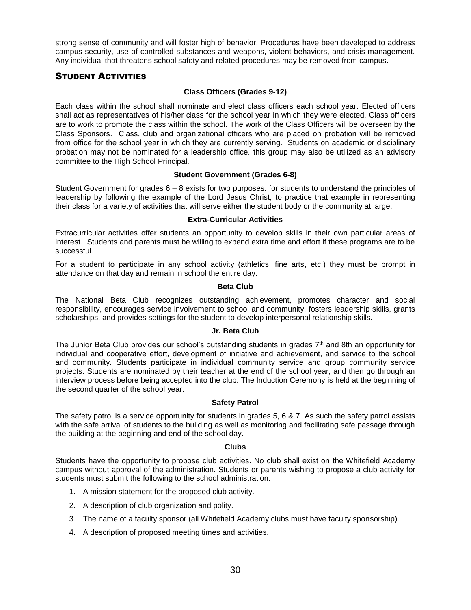strong sense of community and will foster high of behavior. Procedures have been developed to address campus security, use of controlled substances and weapons, violent behaviors, and crisis management. Any individual that threatens school safety and related procedures may be removed from campus.

## STUDENT ACTIVITIES

## <span id="page-31-0"></span>**Class Officers (Grades 9-12)**

Each class within the school shall nominate and elect class officers each school year. Elected officers shall act as representatives of his/her class for the school year in which they were elected. Class officers are to work to promote the class within the school. The work of the Class Officers will be overseen by the Class Sponsors. Class, club and organizational officers who are placed on probation will be removed from office for the school year in which they are currently serving. Students on academic or disciplinary probation may not be nominated for a leadership office. this group may also be utilized as an advisory committee to the High School Principal.

## **Student Government (Grades 6-8)**

Student Government for grades 6 – 8 exists for two purposes: for students to understand the principles of leadership by following the example of the Lord Jesus Christ; to practice that example in representing their class for a variety of activities that will serve either the student body or the community at large.

#### **Extra-Curricular Activities**

Extracurricular activities offer students an opportunity to develop skills in their own particular areas of interest. Students and parents must be willing to expend extra time and effort if these programs are to be successful.

For a student to participate in any school activity (athletics, fine arts, etc.) they must be prompt in attendance on that day and remain in school the entire day.

## **Beta Club**

The National Beta Club recognizes outstanding achievement, promotes character and social responsibility, encourages service involvement to school and community, fosters leadership skills, grants scholarships, and provides settings for the student to develop interpersonal relationship skills.

## **Jr. Beta Club**

The Junior Beta Club provides our school's outstanding students in grades 7<sup>th</sup> and 8th an opportunity for individual and cooperative effort, development of initiative and achievement, and service to the school and community. Students participate in individual community service and group community service projects. Students are nominated by their teacher at the end of the school year, and then go through an interview process before being accepted into the club. The Induction Ceremony is held at the beginning of the second quarter of the school year.

## **Safety Patrol**

The safety patrol is a service opportunity for students in grades 5, 6 & 7. As such the safety patrol assists with the safe arrival of students to the building as well as monitoring and facilitating safe passage through the building at the beginning and end of the school day.

#### **Clubs**

Students have the opportunity to propose club activities. No club shall exist on the Whitefield Academy campus without approval of the administration. Students or parents wishing to propose a club activity for students must submit the following to the school administration:

- 1. A mission statement for the proposed club activity.
- 2. A description of club organization and polity.
- 3. The name of a faculty sponsor (all Whitefield Academy clubs must have faculty sponsorship).
- 4. A description of proposed meeting times and activities.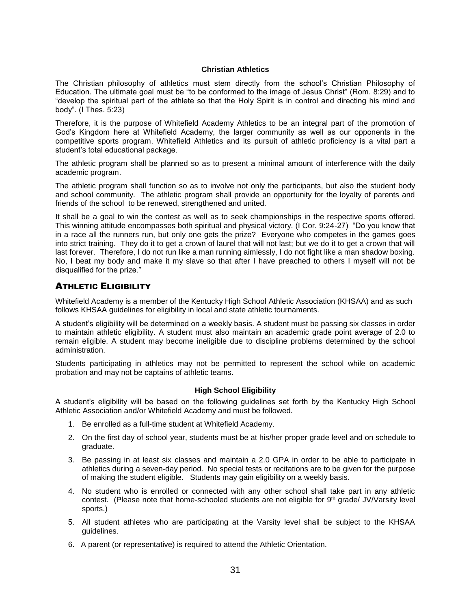## **Christian Athletics**

The Christian philosophy of athletics must stem directly from the school's Christian Philosophy of Education. The ultimate goal must be "to be conformed to the image of Jesus Christ" (Rom. 8:29) and to "develop the spiritual part of the athlete so that the Holy Spirit is in control and directing his mind and body". (I Thes. 5:23)

Therefore, it is the purpose of Whitefield Academy Athletics to be an integral part of the promotion of God's Kingdom here at Whitefield Academy, the larger community as well as our opponents in the competitive sports program. Whitefield Athletics and its pursuit of athletic proficiency is a vital part a student's total educational package.

The athletic program shall be planned so as to present a minimal amount of interference with the daily academic program.

The athletic program shall function so as to involve not only the participants, but also the student body and school community. The athletic program shall provide an opportunity for the loyalty of parents and friends of the school to be renewed, strengthened and united.

It shall be a goal to win the contest as well as to seek championships in the respective sports offered. This winning attitude encompasses both spiritual and physical victory. (I Cor. 9:24-27) "Do you know that in a race all the runners run, but only one gets the prize? Everyone who competes in the games goes into strict training. They do it to get a crown of laurel that will not last; but we do it to get a crown that will last forever. Therefore, I do not run like a man running aimlessly, I do not fight like a man shadow boxing. No, I beat my body and make it my slave so that after I have preached to others I myself will not be disqualified for the prize."

## <span id="page-32-0"></span>ATHLETIC ELIGIBILITY

Whitefield Academy is a member of the Kentucky High School Athletic Association (KHSAA) and as such follows KHSAA guidelines for eligibility in local and state athletic tournaments.

A student's eligibility will be determined on a weekly basis. A student must be passing six classes in order to maintain athletic eligibility. A student must also maintain an academic grade point average of 2.0 to remain eligible. A student may become ineligible due to discipline problems determined by the school administration.

Students participating in athletics may not be permitted to represent the school while on academic probation and may not be captains of athletic teams.

## **High School Eligibility**

A student's eligibility will be based on the following guidelines set forth by the Kentucky High School Athletic Association and/or Whitefield Academy and must be followed.

- 1. Be enrolled as a full-time student at Whitefield Academy.
- 2. On the first day of school year, students must be at his/her proper grade level and on schedule to graduate.
- 3. Be passing in at least six classes and maintain a 2.0 GPA in order to be able to participate in athletics during a seven-day period. No special tests or recitations are to be given for the purpose of making the student eligible. Students may gain eligibility on a weekly basis.
- 4. No student who is enrolled or connected with any other school shall take part in any athletic contest. (Please note that home-schooled students are not eligible for 9<sup>th</sup> grade/ JV/Varsity level sports.)
- 5. All student athletes who are participating at the Varsity level shall be subject to the KHSAA guidelines.
- 6. A parent (or representative) is required to attend the Athletic Orientation.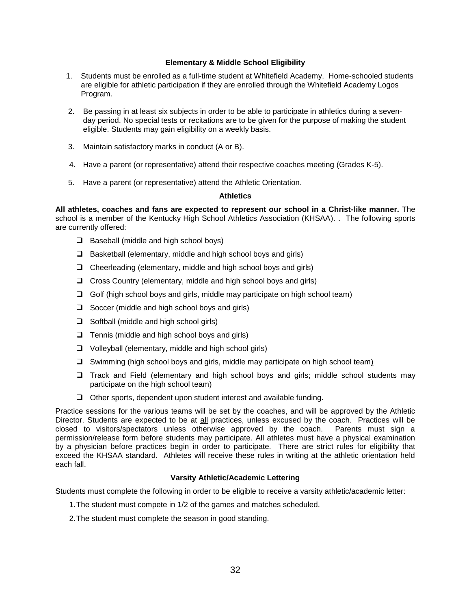## **Elementary & Middle School Eligibility**

- 1. Students must be enrolled as a full-time student at Whitefield Academy. Home-schooled students are eligible for athletic participation if they are enrolled through the Whitefield Academy Logos Program.
- 2. Be passing in at least six subjects in order to be able to participate in athletics during a seven day period. No special tests or recitations are to be given for the purpose of making the student eligible. Students may gain eligibility on a weekly basis.
- 3. Maintain satisfactory marks in conduct (A or B).
- 4. Have a parent (or representative) attend their respective coaches meeting (Grades K-5).
- 5. Have a parent (or representative) attend the Athletic Orientation.

## **Athletics**

**All athletes, coaches and fans are expected to represent our school in a Christ-like manner.** The school is a member of the Kentucky High School Athletics Association (KHSAA). . The following sports are currently offered:

- $\Box$  Baseball (middle and high school boys)
- $\square$  Basketball (elementary, middle and high school boys and girls)
- $\Box$  Cheerleading (elementary, middle and high school boys and girls)
- $\Box$  Cross Country (elementary, middle and high school boys and girls)
- $\Box$  Golf (high school boys and girls, middle may participate on high school team)
- $\Box$  Soccer (middle and high school boys and girls)
- $\Box$  Softball (middle and high school girls)
- $\Box$  Tennis (middle and high school boys and girls)
- $\Box$  Volleyball (elementary, middle and high school girls)
- $\square$  Swimming (high school boys and girls, middle may participate on high school team)
- $\Box$  Track and Field (elementary and high school boys and girls; middle school students may participate on the high school team)
- $\Box$  Other sports, dependent upon student interest and available funding.

Practice sessions for the various teams will be set by the coaches, and will be approved by the Athletic Director. Students are expected to be at all practices, unless excused by the coach. Practices will be closed to visitors/spectators unless otherwise approved by the coach. Parents must sign a permission/release form before students may participate. All athletes must have a physical examination by a physician before practices begin in order to participate. There are strict rules for eligibility that exceed the KHSAA standard. Athletes will receive these rules in writing at the athletic orientation held each fall.

## **Varsity Athletic/Academic Lettering**

Students must complete the following in order to be eligible to receive a varsity athletic/academic letter:

- 1.The student must compete in 1/2 of the games and matches scheduled.
- 2.The student must complete the season in good standing.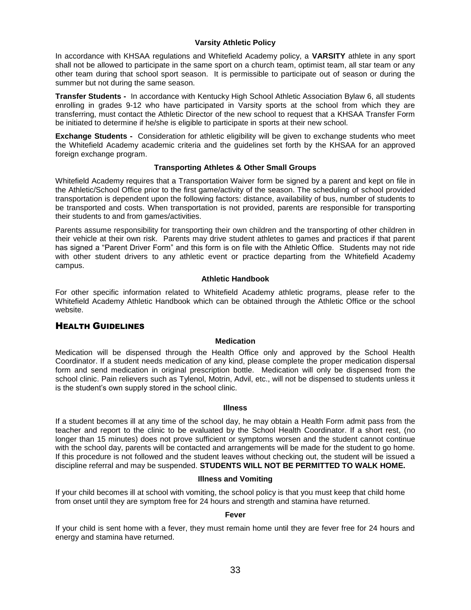## **Varsity Athletic Policy**

In accordance with KHSAA regulations and Whitefield Academy policy, a **VARSITY** athlete in any sport shall not be allowed to participate in the same sport on a church team, optimist team, all star team or any other team during that school sport season. It is permissible to participate out of season or during the summer but not during the same season.

**Transfer Students -** In accordance with Kentucky High School Athletic Association Bylaw 6, all students enrolling in grades 9-12 who have participated in Varsity sports at the school from which they are transferring, must contact the Athletic Director of the new school to request that a KHSAA Transfer Form be initiated to determine if he/she is eligible to participate in sports at their new school.

**Exchange Students -** Consideration for athletic eligibility will be given to exchange students who meet the Whitefield Academy academic criteria and the guidelines set forth by the KHSAA for an approved foreign exchange program.

## **Transporting Athletes & Other Small Groups**

Whitefield Academy requires that a Transportation Waiver form be signed by a parent and kept on file in the Athletic/School Office prior to the first game/activity of the season. The scheduling of school provided transportation is dependent upon the following factors: distance, availability of bus, number of students to be transported and costs. When transportation is not provided, parents are responsible for transporting their students to and from games/activities.

Parents assume responsibility for transporting their own children and the transporting of other children in their vehicle at their own risk. Parents may drive student athletes to games and practices if that parent has signed a "Parent Driver Form" and this form is on file with the Athletic Office. Students may not ride with other student drivers to any athletic event or practice departing from the Whitefield Academy campus.

## <span id="page-34-0"></span>**Athletic Handbook**

For other specific information related to Whitefield Academy athletic programs, please refer to the Whitefield Academy Athletic Handbook which can be obtained through the Athletic Office or the school website.

## HEALTH GUIDELINES

## **Medication**

Medication will be dispensed through the Health Office only and approved by the School Health Coordinator. If a student needs medication of any kind, please complete the proper medication dispersal form and send medication in original prescription bottle. Medication will only be dispensed from the school clinic. Pain relievers such as Tylenol, Motrin, Advil, etc., will not be dispensed to students unless it is the student's own supply stored in the school clinic.

## **Illness**

If a student becomes ill at any time of the school day, he may obtain a Health Form admit pass from the teacher and report to the clinic to be evaluated by the School Health Coordinator. If a short rest, (no longer than 15 minutes) does not prove sufficient or symptoms worsen and the student cannot continue with the school day, parents will be contacted and arrangements will be made for the student to go home. If this procedure is not followed and the student leaves without checking out, the student will be issued a discipline referral and may be suspended. **STUDENTS WILL NOT BE PERMITTED TO WALK HOME.**

## **Illness and Vomiting**

If your child becomes ill at school with vomiting, the school policy is that you must keep that child home from onset until they are symptom free for 24 hours and strength and stamina have returned.

## **Fever**

If your child is sent home with a fever, they must remain home until they are fever free for 24 hours and energy and stamina have returned.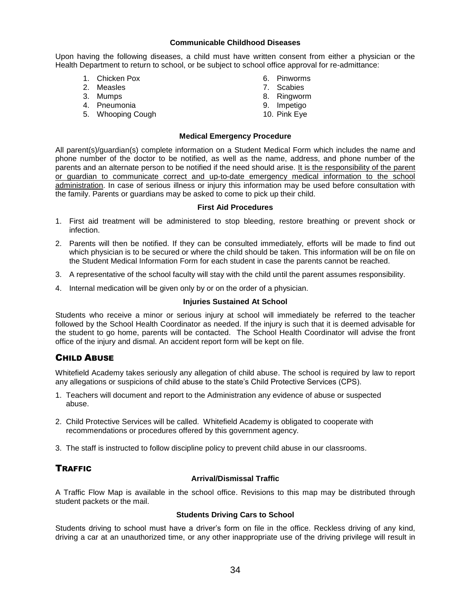## **Communicable Childhood Diseases**

Upon having the following diseases, a child must have written consent from either a physician or the Health Department to return to school, or be subject to school office approval for re-admittance:

- 1. Chicken Pox
- 2. Measles
- 3. Mumps
- 4. Pneumonia
- 5. Whooping Cough
- 6. Pinworms
- 7. Scabies
- 8. Ringworm
- 9. Impetigo
- 10. Pink Eye

## **Medical Emergency Procedure**

All parent(s)/guardian(s) complete information on a Student Medical Form which includes the name and phone number of the doctor to be notified, as well as the name, address, and phone number of the parents and an alternate person to be notified if the need should arise. It is the responsibility of the parent or guardian to communicate correct and up-to-date emergency medical information to the school administration. In case of serious illness or injury this information may be used before consultation with the family. Parents or guardians may be asked to come to pick up their child.

## **First Aid Procedures**

- 1. First aid treatment will be administered to stop bleeding, restore breathing or prevent shock or infection.
- 2. Parents will then be notified. If they can be consulted immediately, efforts will be made to find out which physician is to be secured or where the child should be taken. This information will be on file on the Student Medical Information Form for each student in case the parents cannot be reached.
- 3. A representative of the school faculty will stay with the child until the parent assumes responsibility.
- 4. Internal medication will be given only by or on the order of a physician.

## **Injuries Sustained At School**

Students who receive a minor or serious injury at school will immediately be referred to the teacher followed by the School Health Coordinator as needed. If the injury is such that it is deemed advisable for the student to go home, parents will be contacted. The School Health Coordinator will advise the front office of the injury and dismal. An accident report form will be kept on file.

## <span id="page-35-0"></span>CHILD ABUSE

Whitefield Academy takes seriously any allegation of child abuse. The school is required by law to report any allegations or suspicions of child abuse to the state's Child Protective Services (CPS).

- 1. Teachers will document and report to the Administration any evidence of abuse or suspected abuse.
- 2. Child Protective Services will be called. Whitefield Academy is obligated to cooperate with recommendations or procedures offered by this government agency.
- 3. The staff is instructed to follow discipline policy to prevent child abuse in our classrooms.

## <span id="page-35-1"></span>**TRAFFIC**

## **Arrival/Dismissal Traffic**

A Traffic Flow Map is available in the school office. Revisions to this map may be distributed through student packets or the mail.

## **Students Driving Cars to School**

Students driving to school must have a driver's form on file in the office. Reckless driving of any kind, driving a car at an unauthorized time, or any other inappropriate use of the driving privilege will result in